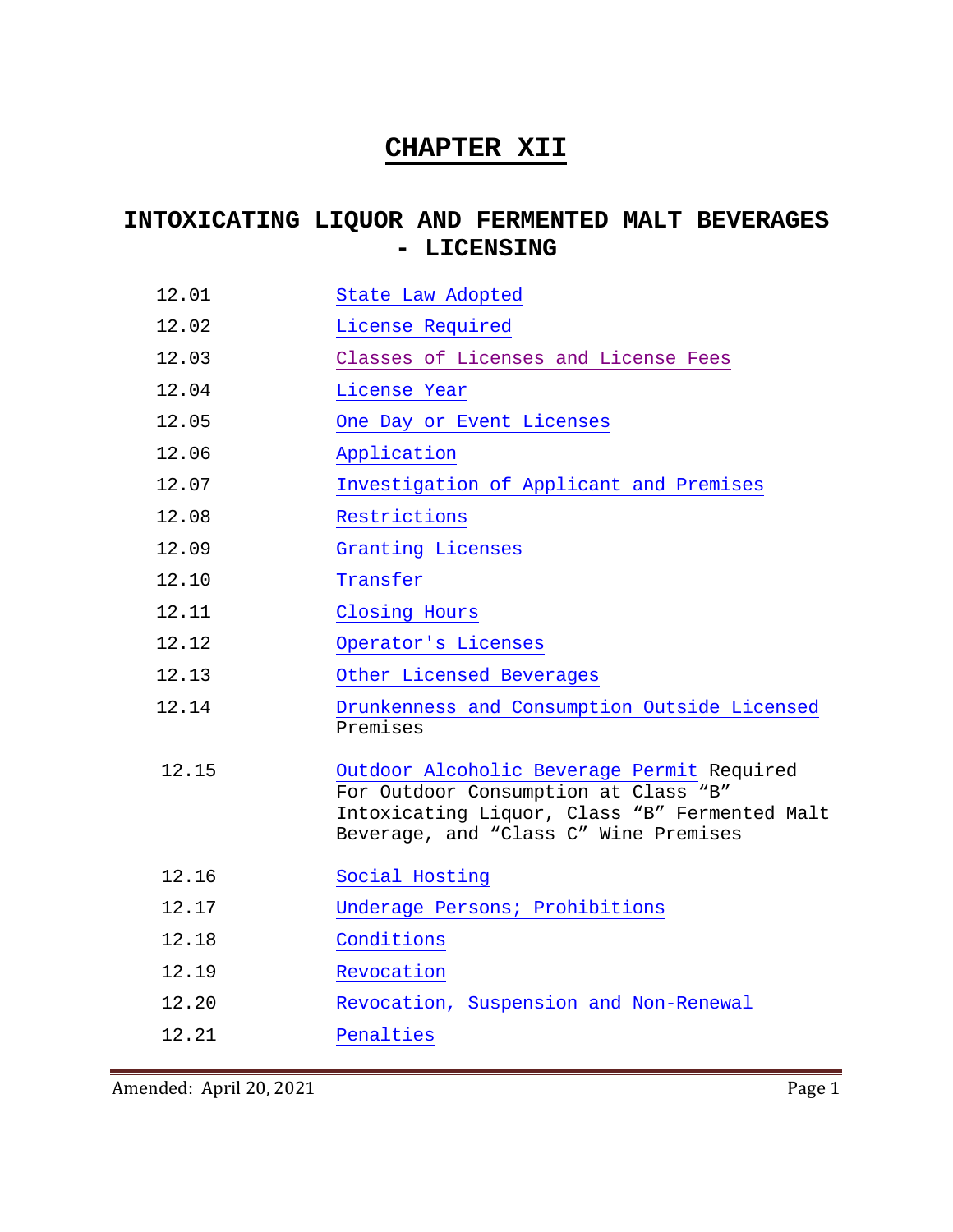## **CHAPTER XII**

## **INTOXICATING LIQUOR AND FERMENTED MALT BEVERAGES - LICENSING**

| 12.01 | State Law Adopted |
|-------|-------------------|
|       |                   |

- 12.02 [License Required](#page-1-1)
- 12.03 [Classes of Licenses and License Fees](#page-1-2)
- 12.04 [License Year](#page-3-0)
- 12.05 [One Day or Event Licenses](#page-3-1)
- 12.06 [Application](#page-4-0)
- 12.07 [Investigation of Applicant and Premises](#page-4-1)
- 12.08 [Restrictions](#page-4-2)
- 12.09 [Granting Licenses](#page-6-0)
- 12.10 [Transfer](#page-6-1)
- 12.11 [Closing Hours](#page-6-2)
- 12.12 [Operator's Licenses](#page-7-0)
- 12.13 [Other Licensed Beverages](#page-9-0)
- 12.14 [Drunkenness and Consumption Outside Licensed](#page-9-1) Premises
- 12.15 [Outdoor Alcoholic Beverage Permit](#page-10-0) Required For Outdoor Consumption at Class "B" Intoxicating Liquor, Class "B" Fermented Malt Beverage, and "Class C" Wine Premises
- 12.16 [Social Hosting](#page-13-0)
- 12.17 [Underage Persons; Prohibitions](#page-16-0)
- 12.18 [Conditions](#page-17-0)
- 12.19 [Revocation](#page-20-0)
- 12.20 [Revocation, Suspension and Non-Renewal](#page-21-0)

12.21 [Penalties](#page-25-0)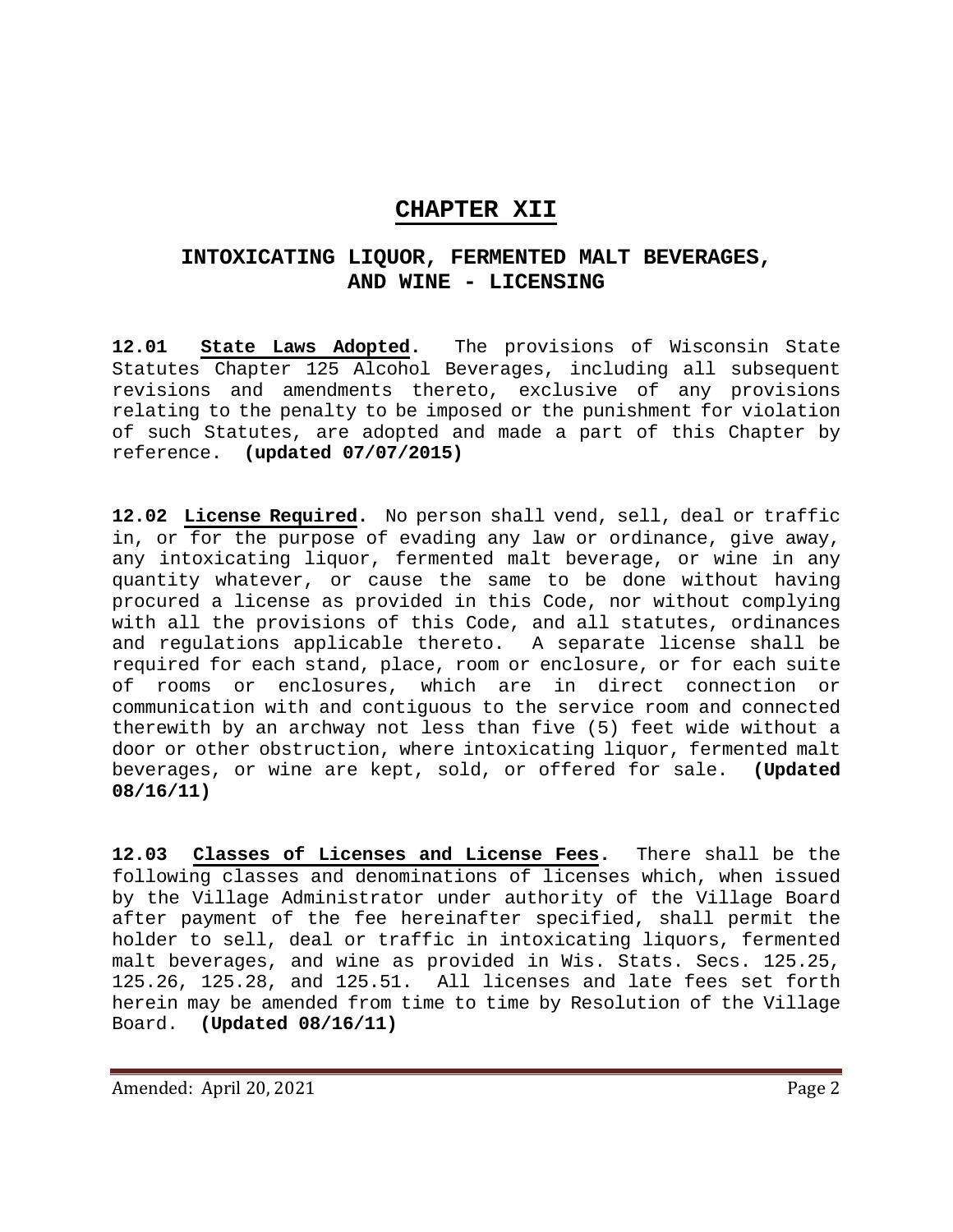### **CHAPTER XII**

## **INTOXICATING LIQUOR, FERMENTED MALT BEVERAGES, AND WINE - LICENSING**

<span id="page-1-0"></span>**12.01 State Laws Adopted.** The provisions of Wisconsin State Statutes Chapter 125 Alcohol Beverages, including all subsequent revisions and amendments thereto, exclusive of any provisions relating to the penalty to be imposed or the punishment for violation of such Statutes, are adopted and made a part of this Chapter by reference. **(updated 07/07/2015)**

<span id="page-1-1"></span>**12.02 License Required.** No person shall vend, sell, deal or traffic in, or for the purpose of evading any law or ordinance, give away, any intoxicating liquor, fermented malt beverage, or wine in any quantity whatever, or cause the same to be done without having procured a license as provided in this Code, nor without complying with all the provisions of this Code, and all statutes, ordinances and regulations applicable thereto. A separate license shall be required for each stand, place, room or enclosure, or for each suite of rooms or enclosures, which are in direct connection or communication with and contiguous to the service room and connected therewith by an archway not less than five (5) feet wide without a door or other obstruction, where intoxicating liquor, fermented malt beverages, or wine are kept, sold, or offered for sale. **(Updated 08/16/11)**

<span id="page-1-2"></span>**12.03 Classes of Licenses and License Fees.** There shall be the following classes and denominations of licenses which, when issued by the Village Administrator under authority of the Village Board after payment of the fee hereinafter specified, shall permit the holder to sell, deal or traffic in intoxicating liquors, fermented malt beverages, and wine as provided in Wis. Stats. Secs. 125.25, 125.26, 125.28, and 125.51. All licenses and late fees set forth herein may be amended from time to time by Resolution of the Village Board. (Updated 08/16/11) Board. **(Updated 08/16/11)**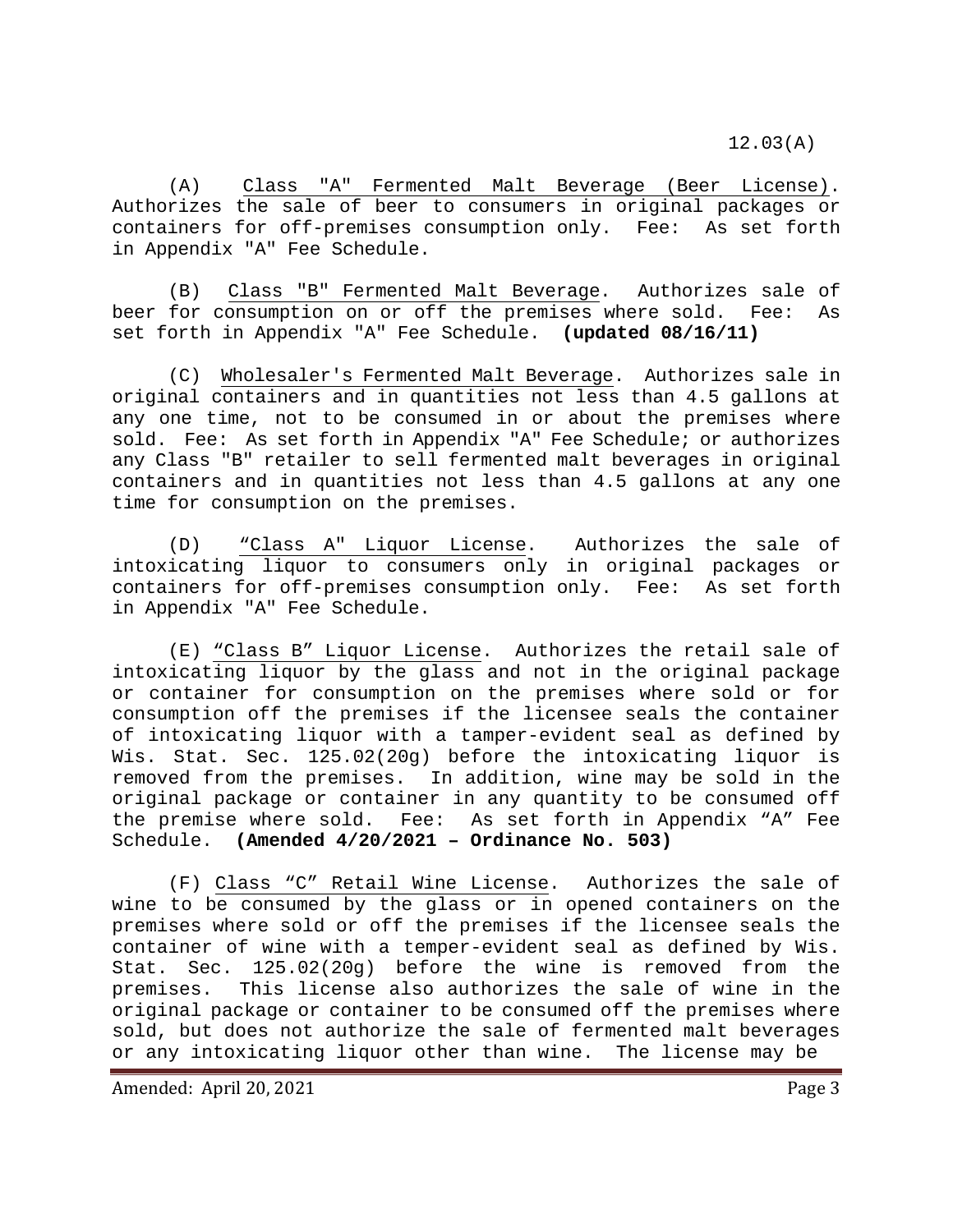(A) Class "A" Fermented Malt Beverage (Beer License). Authorizes the sale of beer to consumers in original packages or containers for off-premises consumption only. Fee: As set forth in Appendix "A" Fee Schedule.

(B) Class "B" Fermented Malt Beverage. Authorizes sale of beer for consumption on or off the premises where sold. Fee: As set forth in Appendix "A" Fee Schedule. **(updated 08/16/11)**

(C) Wholesaler's Fermented Malt Beverage. Authorizes sale in original containers and in quantities not less than 4.5 gallons at any one time, not to be consumed in or about the premises where sold. Fee: As set forth in Appendix "A" Fee Schedule; or authorizes any Class "B" retailer to sell fermented malt beverages in original containers and in quantities not less than 4.5 gallons at any one time for consumption on the premises.

(D) "Class A" Liquor License. Authorizes the sale of intoxicating liquor to consumers only in original packages or containers for off-premises consumption only. Fee: As set forth in Appendix "A" Fee Schedule.

(E) "Class B" Liquor License. Authorizes the retail sale of intoxicating liquor by the glass and not in the original package or container for consumption on the premises where sold or for consumption off the premises if the licensee seals the container of intoxicating liquor with a tamper-evident seal as defined by Wis. Stat. Sec. 125.02(20g) before the intoxicating liquor is removed from the premises. In addition, wine may be sold in the original package or container in any quantity to be consumed off the premise where sold. Fee: As set forth in Appendix "A" Fee Schedule. **(Amended 4/20/2021 – Ordinance No. 503)**

(F) Class "C" Retail Wine License. Authorizes the sale of wine to be consumed by the glass or in opened containers on the premises where sold or off the premises if the licensee seals the container of wine with a temper-evident seal as defined by Wis. Stat. Sec. 125.02(20g) before the wine is removed from the premises. This license also authorizes the sale of wine in the original package or container to be consumed off the premises where sold, but does not authorize the sale of fermented malt beverages or any intoxicating liquor other than wine. The license may be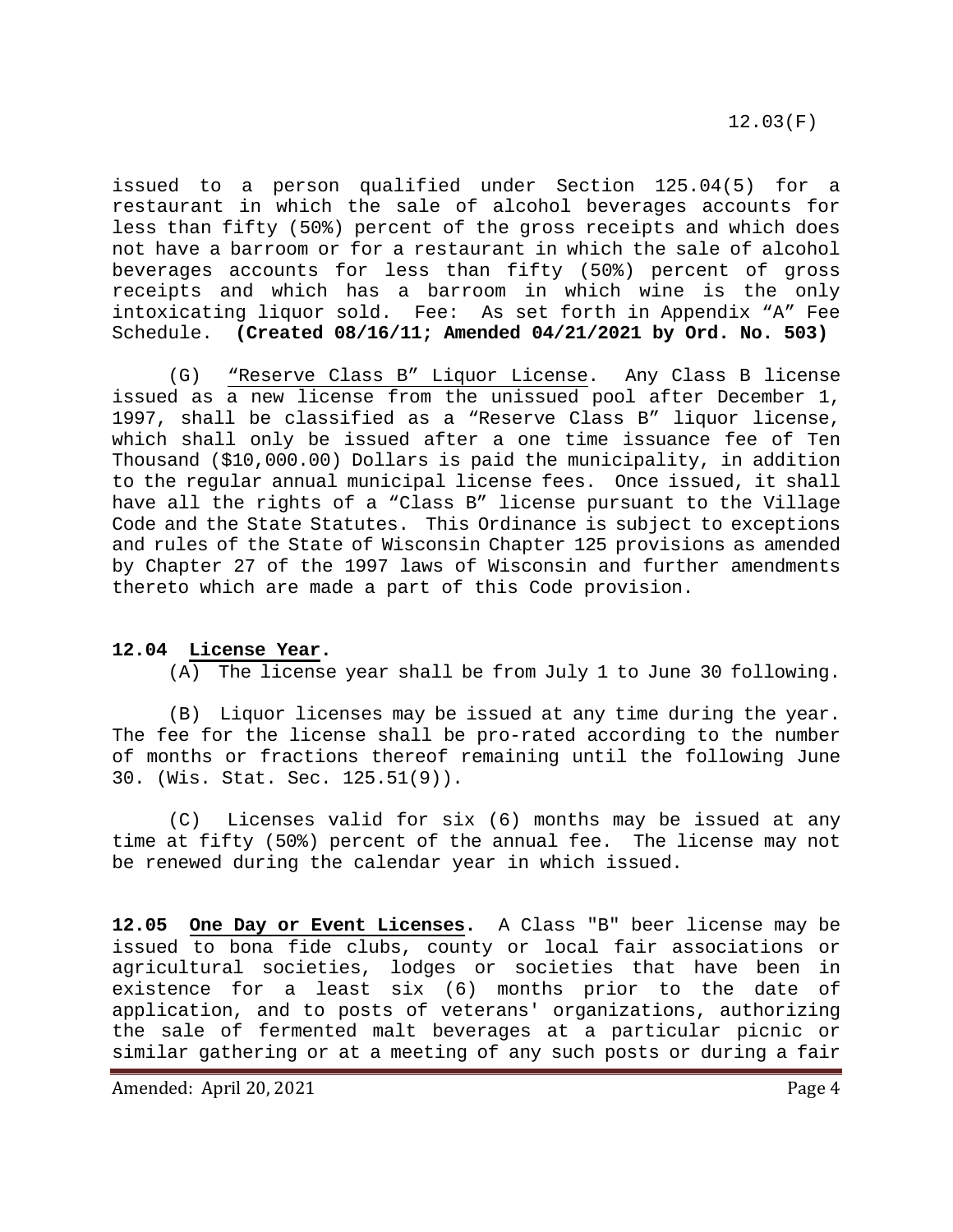issued to a person qualified under Section 125.04(5) for a restaurant in which the sale of alcohol beverages accounts for less than fifty (50%) percent of the gross receipts and which does not have a barroom or for a restaurant in which the sale of alcohol beverages accounts for less than fifty (50%) percent of gross receipts and which has a barroom in which wine is the only intoxicating liquor sold. Fee: As set forth in Appendix "A" Fee Schedule. **(Created 08/16/11; Amended 04/21/2021 by Ord. No. 503)**

(G) "Reserve Class B" Liquor License. Any Class B license issued as a new license from the unissued pool after December 1, 1997, shall be classified as a "Reserve Class B" liquor license, which shall only be issued after a one time issuance fee of Ten Thousand (\$10,000.00) Dollars is paid the municipality, in addition to the regular annual municipal license fees. Once issued, it shall have all the rights of a "Class B" license pursuant to the Village Code and the State Statutes. This Ordinance is subject to exceptions and rules of the State of Wisconsin Chapter 125 provisions as amended by Chapter 27 of the 1997 laws of Wisconsin and further amendments thereto which are made a part of this Code provision.

#### **12.04 License Year.**

<span id="page-3-0"></span>(A) The license year shall be from July 1 to June 30 following.

(B) Liquor licenses may be issued at any time during the year. The fee for the license shall be pro-rated according to the number of months or fractions thereof remaining until the following June 30. (Wis. Stat. Sec. 125.51(9)).

(C) Licenses valid for six (6) months may be issued at any time at fifty (50%) percent of the annual fee. The license may not be renewed during the calendar year in which issued.

<span id="page-3-1"></span>**12.05 One Day or Event Licenses.** A Class "B" beer license may be issued to bona fide clubs, county or local fair associations or agricultural societies, lodges or societies that have been in existence for a least six (6) months prior to the date of application, and to posts of veterans' organizations, authorizing the sale of fermented malt beverages at a particular picnic or similar gathering or at a meeting of any such posts or during a fair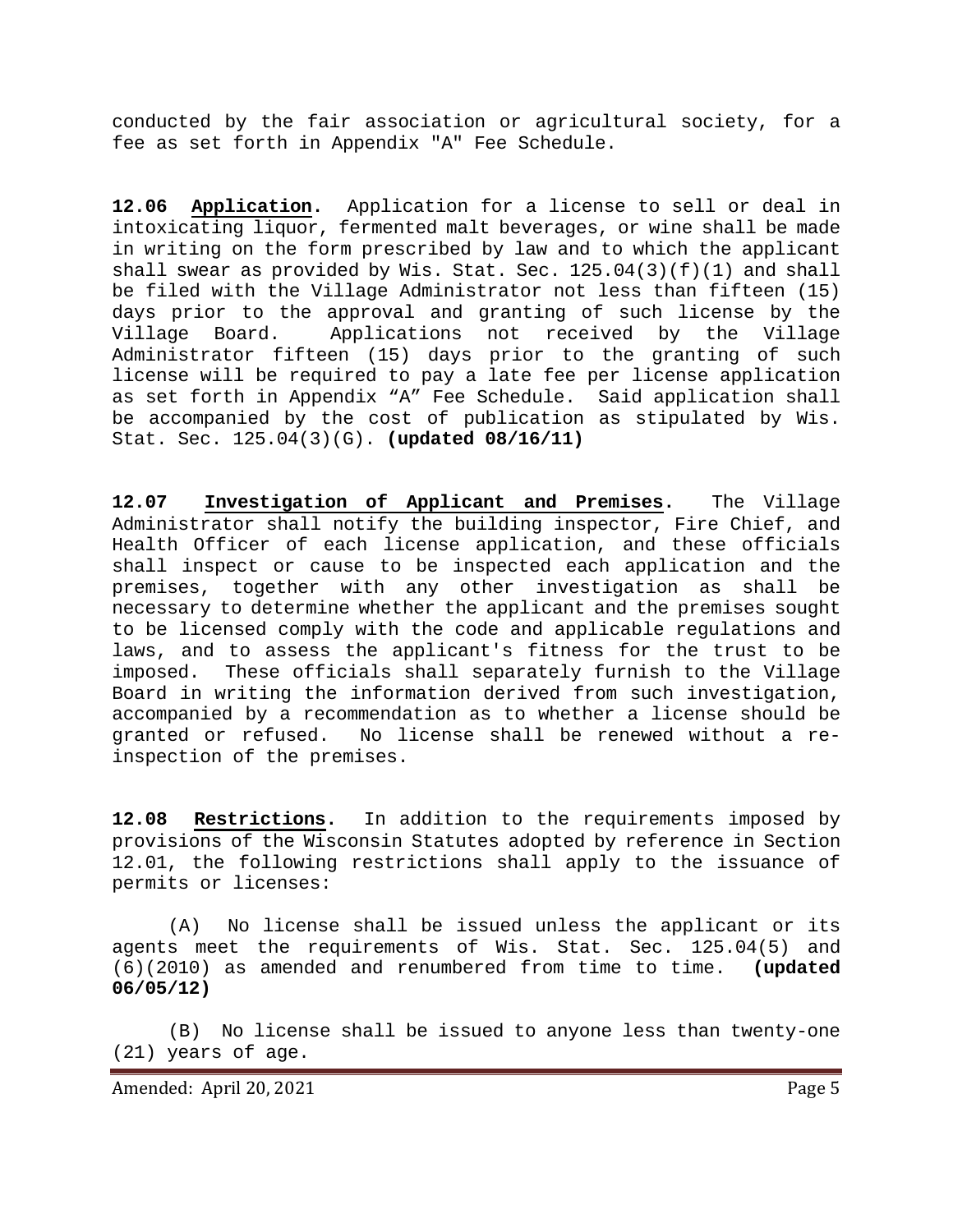conducted by the fair association or agricultural society, for a fee as set forth in Appendix "A" Fee Schedule.

<span id="page-4-0"></span>**12.06 Application.** Application for a license to sell or deal in intoxicating liquor, fermented malt beverages, or wine shall be made in writing on the form prescribed by law and to which the applicant shall swear as provided by Wis. Stat. Sec. 125.04(3)(f)(1) and shall be filed with the Village Administrator not less than fifteen (15) days prior to the approval and granting of such license by the<br>Village Board. Applications not received by the Village Applications not received by the Village Administrator fifteen (15) days prior to the granting of such license will be required to pay a late fee per license application as set forth in Appendix "A" Fee Schedule. Said application shall be accompanied by the cost of publication as stipulated by Wis. Stat. Sec. 125.04(3)(G). **(updated 08/16/11)**

<span id="page-4-1"></span>**12.07 Investigation of Applicant and Premises.** The Village Administrator shall notify the building inspector, Fire Chief, and Health Officer of each license application, and these officials shall inspect or cause to be inspected each application and the premises, together with any other investigation as shall be necessary to determine whether the applicant and the premises sought to be licensed comply with the code and applicable regulations and laws, and to assess the applicant's fitness for the trust to be imposed. These officials shall separately furnish to the Village These officials shall separately furnish to the Village Board in writing the information derived from such investigation, accompanied by a recommendation as to whether a license should be granted or refused. No license shall be renewed without a re-No license shall be renewed without a reinspection of the premises.

<span id="page-4-2"></span>**12.08 Restrictions.** In addition to the requirements imposed by provisions of the Wisconsin Statutes adopted by reference in Section 12.01, the following restrictions shall apply to the issuance of permits or licenses:

(A) No license shall be issued unless the applicant or its agents meet the requirements of Wis. Stat. Sec. 125.04(5) and<br>(6)(2010) as amended and renumbered from time to time. (updated (6)(2010) as amended and renumbered from time to time. **(updated 06/05/12)**

(B) No license shall be issued to anyone less than twenty-one (21) years of age.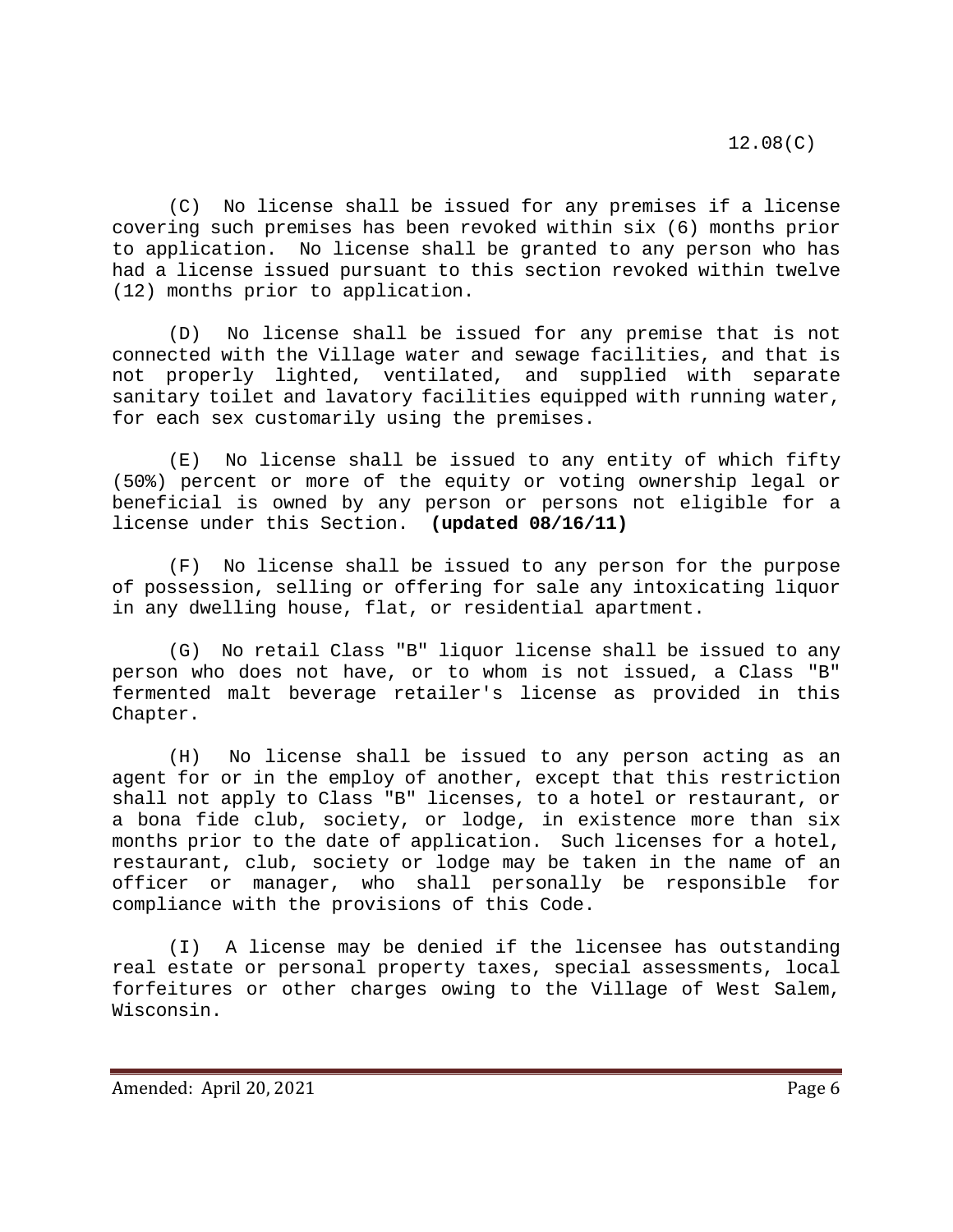(C) No license shall be issued for any premises if a license covering such premises has been revoked within six (6) months prior to application. No license shall be granted to any person who has had a license issued pursuant to this section revoked within twelve (12) months prior to application.

(D) No license shall be issued for any premise that is not connected with the Village water and sewage facilities, and that is not properly lighted, ventilated, and supplied with separate sanitary toilet and lavatory facilities equipped with running water, for each sex customarily using the premises.

(E) No license shall be issued to any entity of which fifty (50%) percent or more of the equity or voting ownership legal or beneficial is owned by any person or persons not eligible for a<br>license under this Section. (updated 08/16/11) license under this Section.

(F) No license shall be issued to any person for the purpose of possession, selling or offering for sale any intoxicating liquor in any dwelling house, flat, or residential apartment.

(G) No retail Class "B" liquor license shall be issued to any person who does not have, or to whom is not issued, a Class "B" fermented malt beverage retailer's license as provided in this Chapter.

(H) No license shall be issued to any person acting as an agent for or in the employ of another, except that this restriction shall not apply to Class "B" licenses, to a hotel or restaurant, or a bona fide club, society, or lodge, in existence more than six months prior to the date of application. Such licenses for a hotel, restaurant, club, society or lodge may be taken in the name of an officer or manager, who shall personally be responsible for compliance with the provisions of this Code.

(I) A license may be denied if the licensee has outstanding real estate or personal property taxes, special assessments, local forfeitures or other charges owing to the Village of West Salem, Wisconsin.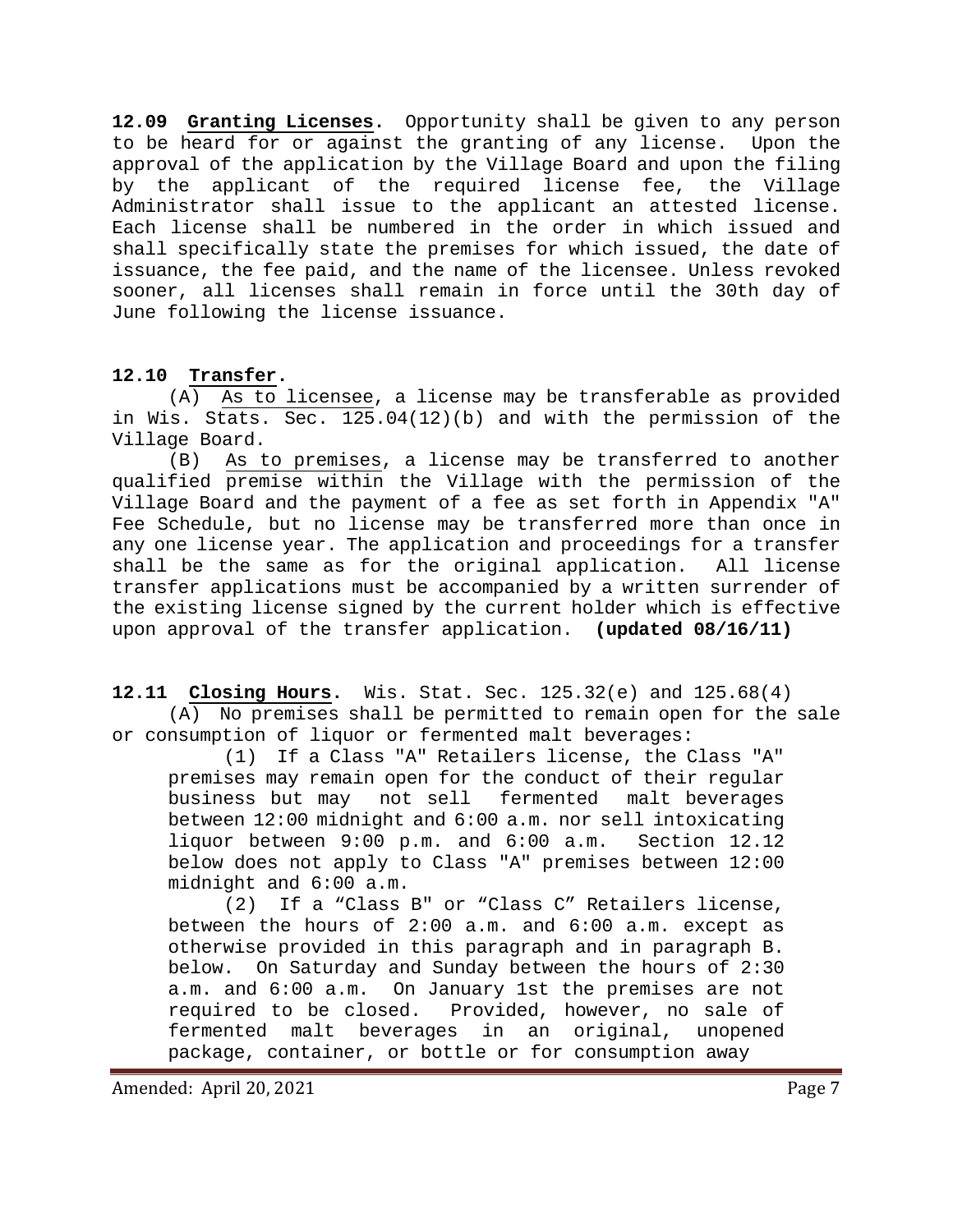<span id="page-6-0"></span>**12.09 Granting Licenses.** Opportunity shall be given to any person to be heard for or against the granting of any license. Upon the approval of the application by the Village Board and upon the filing by the applicant of the required license fee, the Village Administrator shall issue to the applicant an attested license. Each license shall be numbered in the order in which issued and shall specifically state the premises for which issued, the date of issuance, the fee paid, and the name of the licensee. Unless revoked sooner, all licenses shall remain in force until the 30th day of June following the license issuance.

#### <span id="page-6-1"></span>**12.10 Transfer.**

(A) As to licensee, a license may be transferable as provided in Wis. Stats. Sec. 125.04(12)(b) and with the permission of the Village Board.

(B) As to premises, a license may be transferred to another qualified premise within the Village with the permission of the Village Board and the payment of a fee as set forth in Appendix "A" Fee Schedule, but no license may be transferred more than once in any one license year. The application and proceedings for a transfer<br>shall be the same as for the original application. All license shall be the same as for the original application. transfer applications must be accompanied by a written surrender of the existing license signed by the current holder which is effective upon approval of the transfer application. **(updated 08/16/11)**

**12.11 Closing Hours.** Wis. Stat. Sec. 125.32(e) and 125.68(4) (A) No premises shall be permitted to remain open for the sale or consumption of liquor or fermented malt beverages:

<span id="page-6-2"></span>(1) If a Class "A" Retailers license, the Class "A" premises may remain open for the conduct of their regular<br>business but may mot sell fermented malt beverages business but may not sell between 12:00 midnight and 6:00 a.m. nor sell intoxicating liquor between  $9:00$  p.m. and  $6:00$  a.m. below does not apply to Class "A" premises between 12:00 midnight and 6:00 a.m.

(2) If a "Class B" or "Class C" Retailers license, between the hours of 2:00 a.m. and 6:00 a.m. except as otherwise provided in this paragraph and in paragraph B. below. On Saturday and Sunday between the hours of 2:30 a.m. and 6:00 a.m. On January 1st the premises are not Provided, however, no sale of fermented malt beverages in an original, unopened package, container, or bottle or for consumption away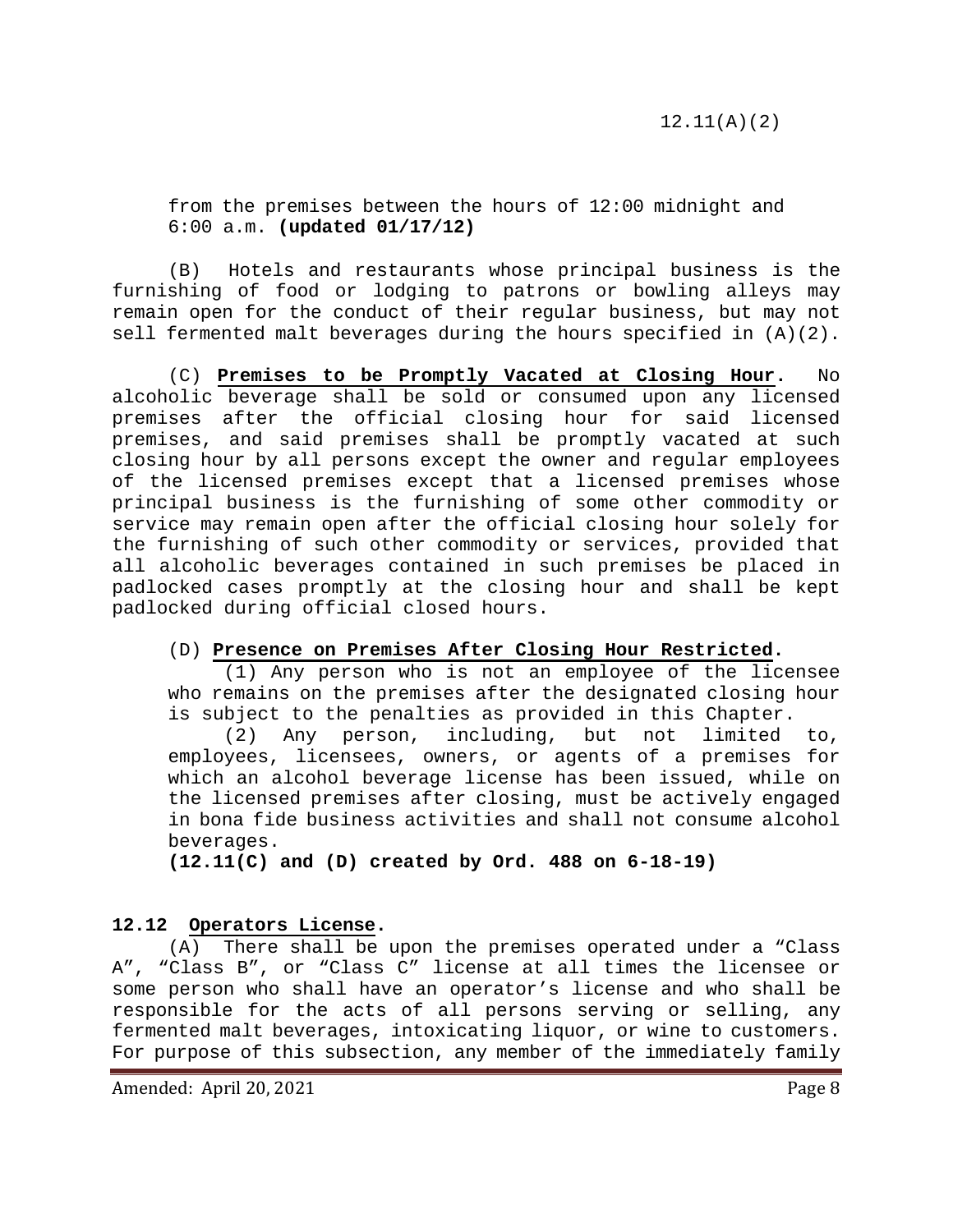from the premises between the hours of 12:00 midnight and 6:00 a.m. **(updated 01/17/12)**

(B) Hotels and restaurants whose principal business is the furnishing of food or lodging to patrons or bowling alleys may remain open for the conduct of their regular business, but may not sell fermented malt beverages during the hours specified in (A)(2).

(C) **Premises to be Promptly Vacated at Closing Hour.** No alcoholic beverage shall be sold or consumed upon any licensed premises after the official closing hour for said licensed premises, and said premises shall be promptly vacated at such closing hour by all persons except the owner and regular employees of the licensed premises except that a licensed premises whose principal business is the furnishing of some other commodity or service may remain open after the official closing hour solely for the furnishing of such other commodity or services, provided that all alcoholic beverages contained in such premises be placed in padlocked cases promptly at the closing hour and shall be kept padlocked during official closed hours.

#### (D) **Presence on Premises After Closing Hour Restricted.**

(1) Any person who is not an employee of the licensee who remains on the premises after the designated closing hour is subject to the penalties as provided in this Chapter.

(2) Any person, including, but not limited to, employees, licensees, owners, or agents of a premises for which an alcohol beverage license has been issued, while on the licensed premises after closing, must be actively engaged in bona fide business activities and shall not consume alcohol beverages.

<span id="page-7-0"></span>**(12.11(C) and (D) created by Ord. 488 on 6-18-19)**

#### **12.12 Operators License.**

(A) There shall be upon the premises operated under a "Class A", "Class B", or "Class C" license at all times the licensee or some person who shall have an operator's license and who shall be responsible for the acts of all persons serving or selling, any fermented malt beverages, intoxicating liquor, or wine to customers. For purpose of this subsection, any member of the immediately family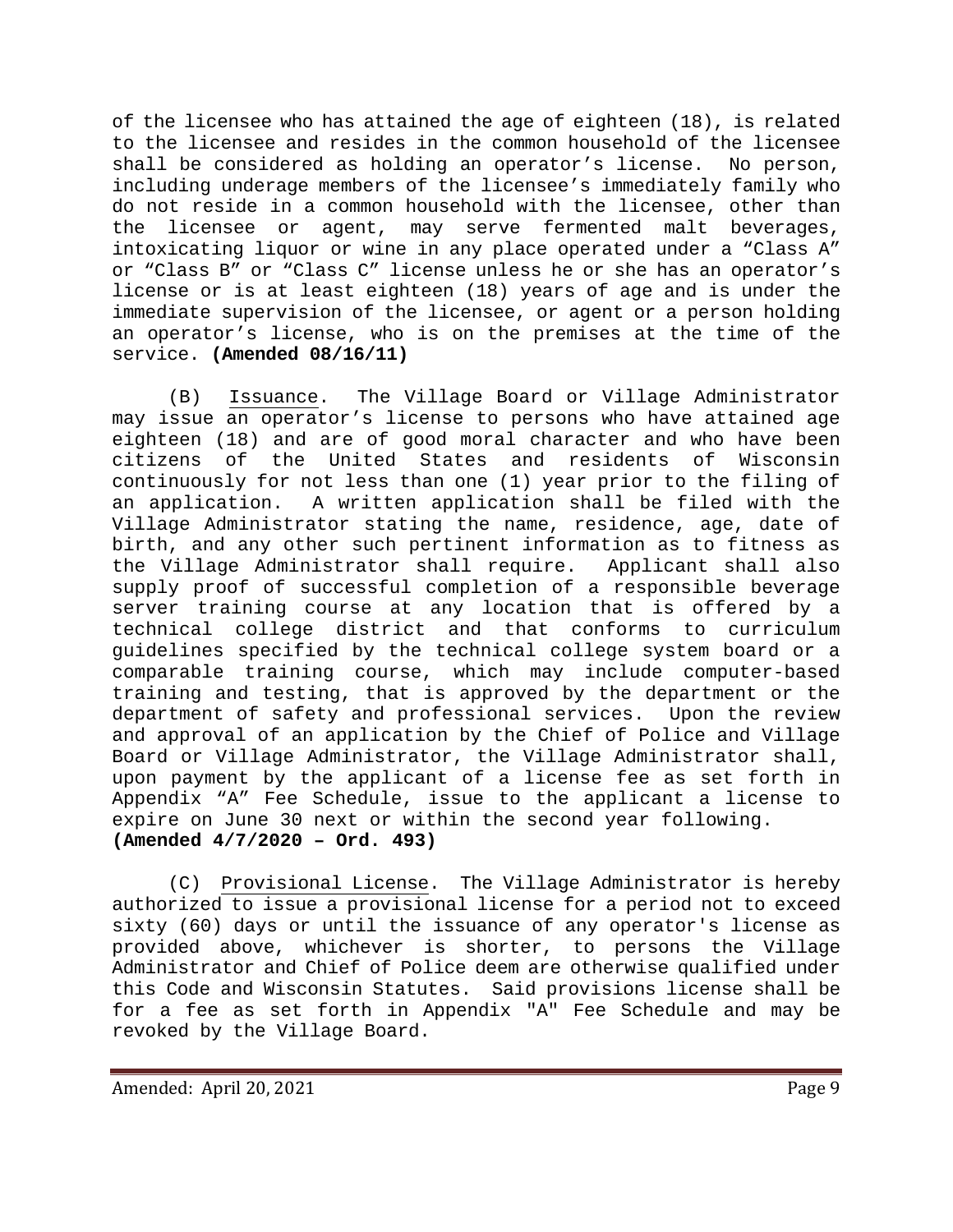of the licensee who has attained the age of eighteen (18), is related to the licensee and resides in the common household of the licensee<br>shall be considered as holding an operator's license. No person, shall be considered as holding an operator's license. including underage members of the licensee's immediately family who do not reside in a common household with the licensee, other than the licensee or agent, may serve fermented malt beverages, intoxicating liquor or wine in any place operated under a "Class A" or "Class B" or "Class C" license unless he or she has an operator's license or is at least eighteen (18) years of age and is under the immediate supervision of the licensee, or agent or a person holding an operator's license, who is on the premises at the time of the service. **(Amended 08/16/11)**

(B) Issuance. The Village Board or Village Administrator may issue an operator's license to persons who have attained age eighteen (18) and are of good moral character and who have been citizens of the United States and residents of Wisconsin continuously for not less than one (1) year prior to the filing of an application. A written application shall be filed with the Village Administrator stating the name, residence, age, date of birth, and any other such pertinent information as to fitness as<br>the Village Administrator shall require. Applicant shall also the Village Administrator shall require. supply proof of successful completion of a responsible beverage server training course at any location that is offered by a technical college district and that conforms to curriculum guidelines specified by the technical college system board or a comparable training course, which may include computer-based training and testing, that is approved by the department or the department of safety and professional services. Upon the review and approval of an application by the Chief of Police and Village Board or Village Administrator, the Village Administrator shall, upon payment by the applicant of a license fee as set forth in Appendix "A" Fee Schedule, issue to the applicant a license to expire on June 30 next or within the second year following. **(Amended 4/7/2020 – Ord. 493)**

(C) Provisional License. The Village Administrator is hereby authorized to issue a provisional license for a period not to exceed sixty (60) days or until the issuance of any operator's license as provided above, whichever is shorter, to persons the Village Administrator and Chief of Police deem are otherwise qualified under this Code and Wisconsin Statutes. Said provisions license shall be for a fee as set forth in Appendix "A" Fee Schedule and may be revoked by the Village Board.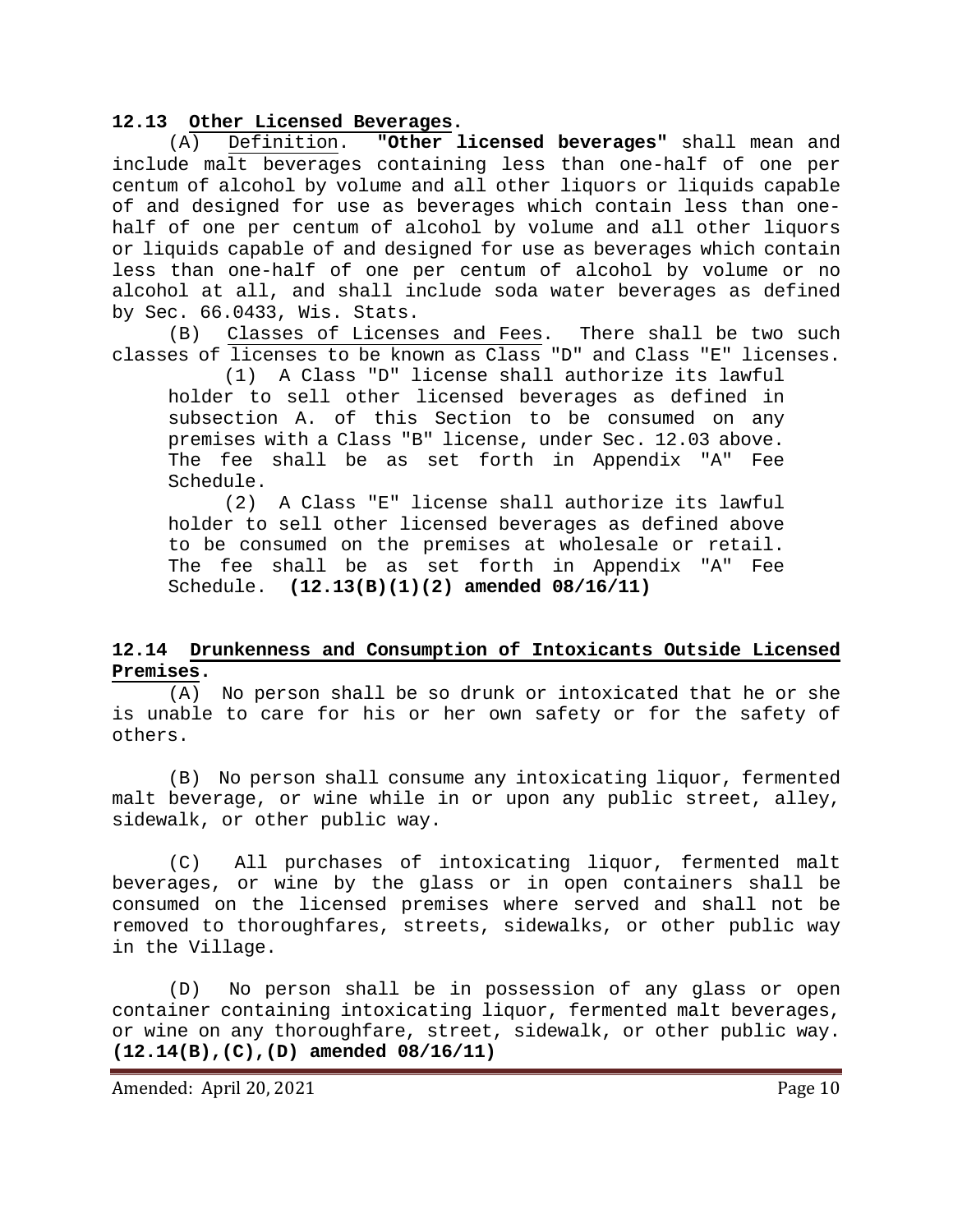# <span id="page-9-0"></span>12.13 Other Licensed Beverages.<br>(A) Definition. "Other 1

"Other licensed beverages" shall mean and include malt beverages containing less than one-half of one per centum of alcohol by volume and all other liquors or liquids capable of and designed for use as beverages which contain less than onehalf of one per centum of alcohol by volume and all other liquors or liquids capable of and designed for use as beverages which contain less than one-half of one per centum of alcohol by volume or no alcohol at all, and shall include soda water beverages as defined by Sec. 66.0433, Wis. Stats.

(B) Classes of Licenses and Fees. There shall be two such classes of licenses to be known as Class "D" and Class "E" licenses.<br>(1) A Class "D" license shall authorize its lawful

A Class "D" license shall authorize its lawful holder to sell other licensed beverages as defined in subsection A. of this Section to be consumed on any premises with a Class "B" license, under Sec. 12.03 above. The fee shall be as set forth in Appendix "A" Fee Schedule.

(2) A Class "E" license shall authorize its lawful holder to sell other licensed beverages as defined above to be consumed on the premises at wholesale or retail. The fee shall be as set forth in Appendix "A" Fee Schedule. **(12.13(B)(1)(2) amended 08/16/11)**

#### <span id="page-9-1"></span>**12.14 Drunkenness and Consumption of Intoxicants Outside Licensed Premises.**

(A) No person shall be so drunk or intoxicated that he or she is unable to care for his or her own safety or for the safety of others.

(B) No person shall consume any intoxicating liquor, fermented malt beverage, or wine while in or upon any public street, alley, sidewalk, or other public way.

(C) All purchases of intoxicating liquor, fermented malt beverages, or wine by the glass or in open containers shall be consumed on the licensed premises where served and shall not be removed to thoroughfares, streets, sidewalks, or other public way in the Village.

(D) No person shall be in possession of any glass or open container containing intoxicating liquor, fermented malt beverages, or wine on any thoroughfare, street, sidewalk, or other public way. **(12.14(B),(C),(D) amended 08/16/11)**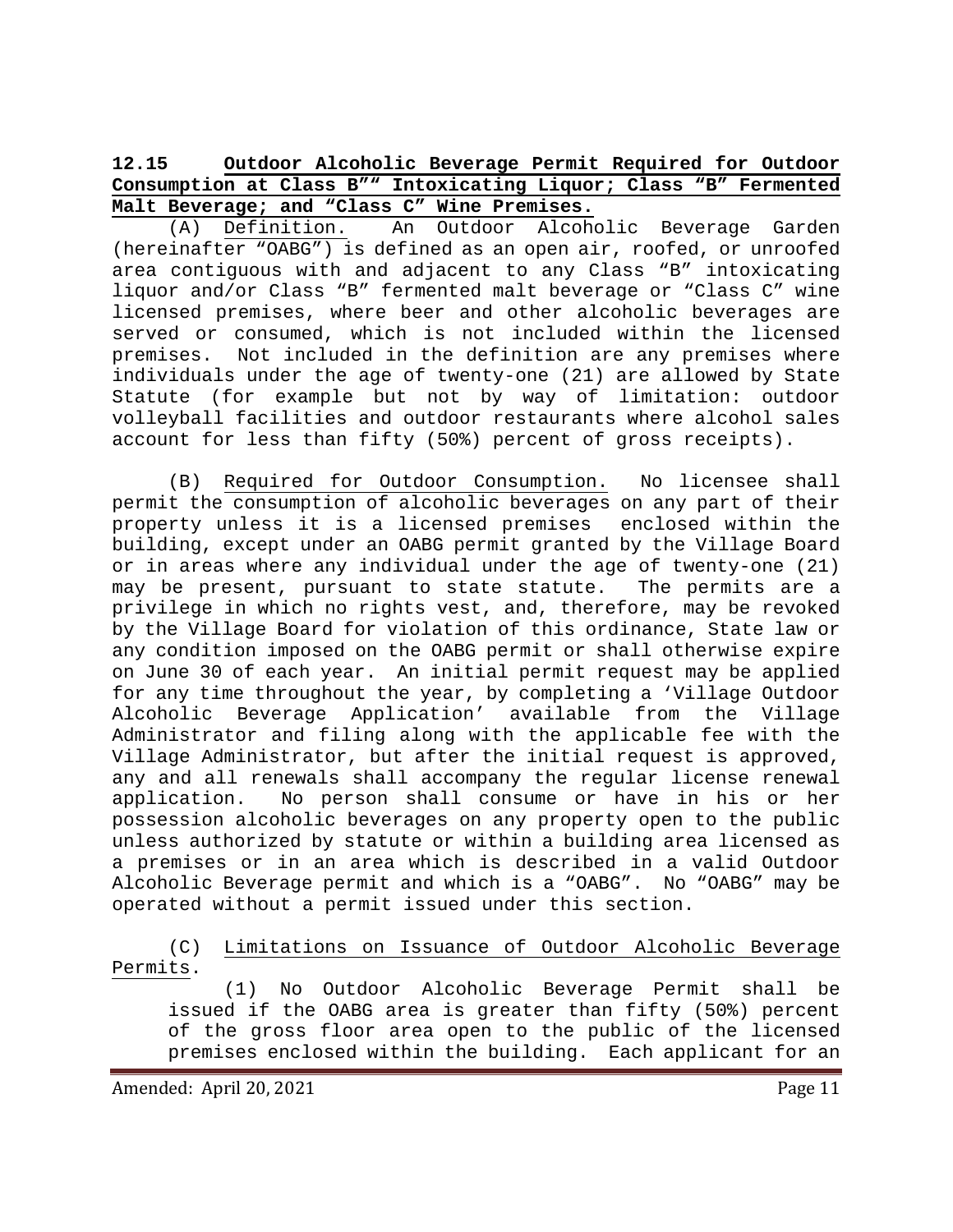# <span id="page-10-0"></span>**12.15 Outdoor Alcoholic Beverage Permit Required for Outdoor Consumption at Class B"" Intoxicating Liquor; Class "B" Fermented Malt Beverage; and "Class C" Wine Premises.**

(A) Definition. An Outdoor Alcoholic Beverage Garden (hereinafter "OABG") is defined as an open air, roofed, or unroofed area contiguous with and adjacent to any Class "B" intoxicating liquor and/or Class "B" fermented malt beverage or "Class C" wine licensed premises, where beer and other alcoholic beverages are served or consumed, which is not included within the licensed premises. Not included in the definition are any premises where individuals under the age of twenty-one (21) are allowed by State Statute (for example but not by way of limitation: outdoor volleyball facilities and outdoor restaurants where alcohol sales account for less than fifty (50%) percent of gross receipts).

(B) Required for Outdoor Consumption. No licensee shall permit the consumption of alcoholic beverages on any part of their property unless it is a licensed premises enclosed within the building, except under an OABG permit granted by the Village Board or in areas where any individual under the age of twenty-one (21) may be present, pursuant to state statute. The permits are a privilege in which no rights vest, and, therefore, may be revoked by the Village Board for violation of this ordinance, State law or any condition imposed on the OABG permit or shall otherwise expire on June 30 of each year. An initial permit request may be applied for any time throughout the year, by completing a 'Village Outdoor Alcoholic Beverage Application' available from the Village Administrator and filing along with the applicable fee with the Village Administrator, but after the initial request is approved, any and all renewals shall accompany the regular license renewal<br>application. Wo person shall consume or have in his or her No person shall consume or have in his or her possession alcoholic beverages on any property open to the public unless authorized by statute or within a building area licensed as a premises or in an area which is described in a valid Outdoor Alcoholic Beverage permit and which is a "OABG". No "OABG" may be operated without a permit issued under this section.

(C) Limitations on Issuance of Outdoor Alcoholic Beverage Permits.

(1) No Outdoor Alcoholic Beverage Permit shall be issued if the OABG area is greater than fifty (50%) percent of the gross floor area open to the public of the licensed premises enclosed within the building. Each applicant for an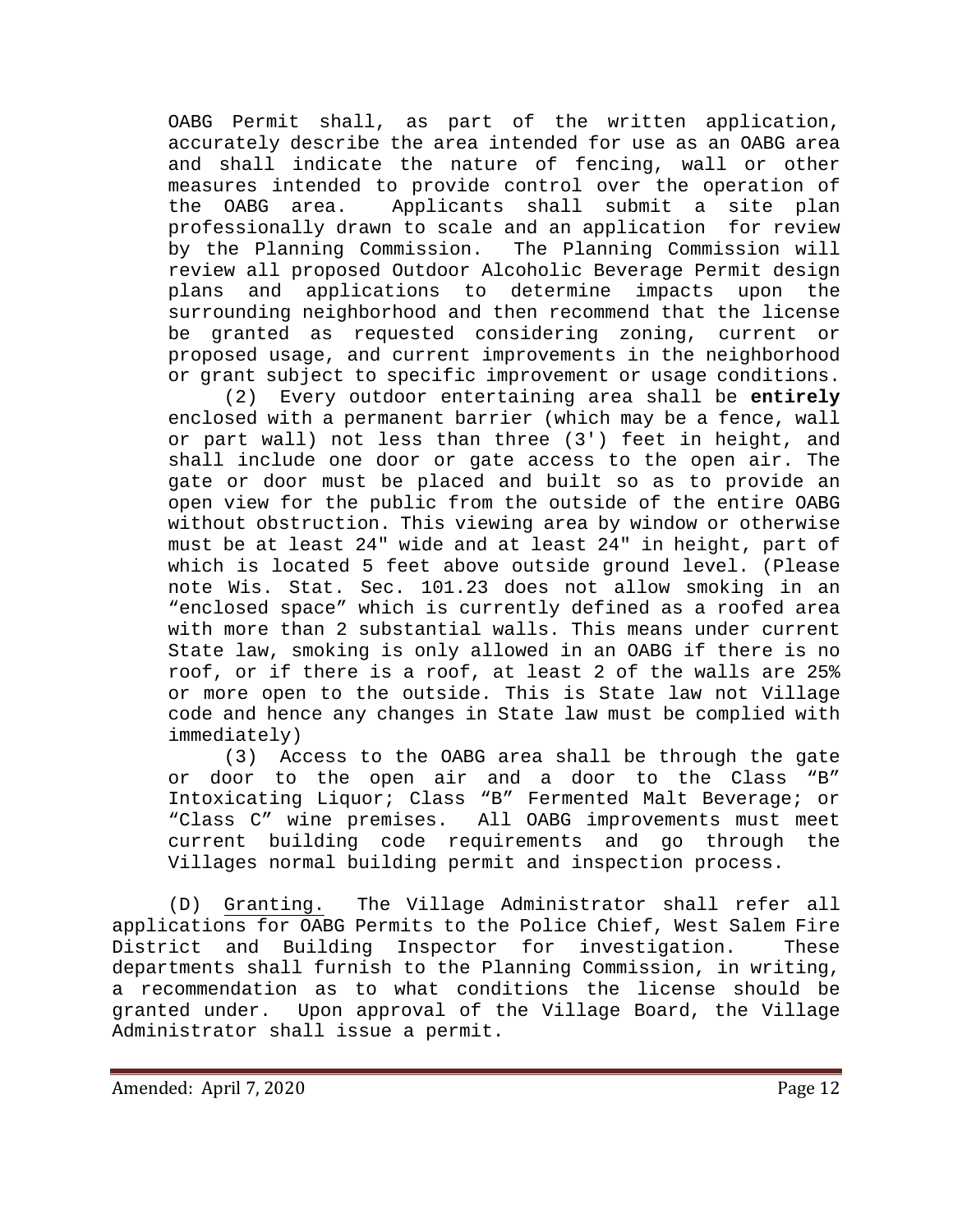OABG Permit shall, as part of the written application, accurately describe the area intended for use as an OABG area and shall indicate the nature of fencing, wall or other measures intended to provide control over the operation of<br>the OABG area. Applicants shall submit a site plan Applicants shall submit a site plan professionally drawn to scale and an application for review by the Planning Commission. The Planning Commission will review all proposed Outdoor Alcoholic Beverage Permit design plans and applications to determine impacts upon the surrounding neighborhood and then recommend that the license be granted as requested considering zoning, current or proposed usage, and current improvements in the neighborhood or grant subject to specific improvement or usage conditions.

(2) Every outdoor entertaining area shall be **entirely** enclosed with a permanent barrier (which may be a fence, wall or part wall) not less than three (3') feet in height, and shall include one door or gate access to the open air. The gate or door must be placed and built so as to provide an open view for the public from the outside of the entire OABG without obstruction. This viewing area by window or otherwise must be at least 24" wide and at least 24" in height, part of which is located 5 feet above outside ground level. (Please note Wis. Stat. Sec. 101.23 does not allow smoking in an "enclosed space" which is currently defined as a roofed area with more than 2 substantial walls. This means under current State law, smoking is only allowed in an OABG if there is no roof, or if there is a roof, at least 2 of the walls are 25% or more open to the outside. This is State law not Village code and hence any changes in State law must be complied with  $immediately)$ <br> $(3)$  Ac

Access to the OABG area shall be through the gate or door to the open air and a door to the Class "B" Intoxicating Liquor; Class "B" Fermented Malt Beverage; or<br>"Class C" wine premises. All OABG improvements must meet All OABG improvements must meet current building code requirements and go through the Villages normal building permit and inspection process.

(D) Granting. The Village Administrator shall refer all applications for OABG Permits to the Police Chief, West Salem Fire District and Building Inspector for investigation. These departments shall furnish to the Planning Commission, in writing, a recommendation as to what conditions the license should be<br>granted under. Upon approval of the Village Board, the Village Upon approval of the Village Board, the Village Administrator shall issue a permit.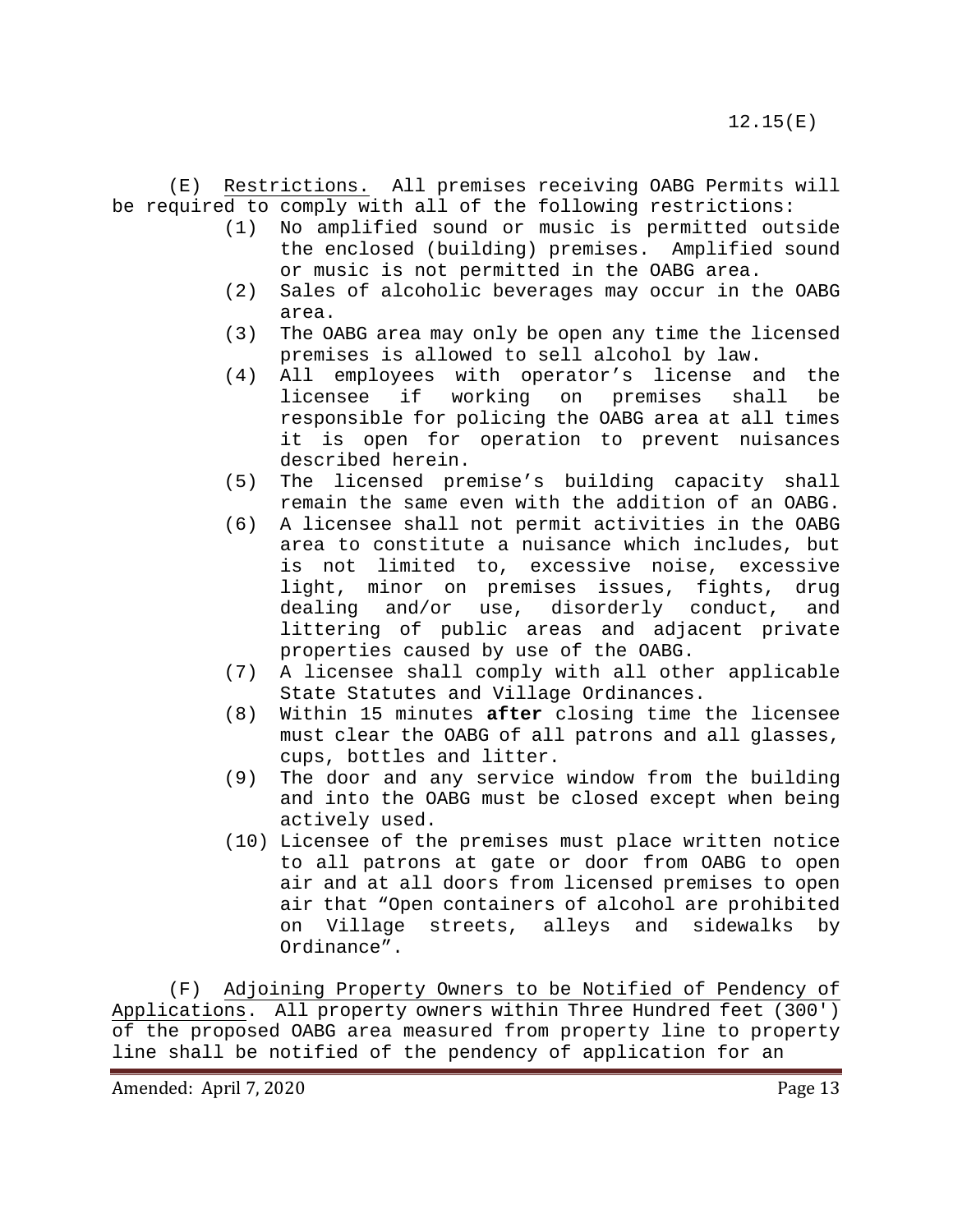(E) Restrictions. All premises receiving OABG Permits will be required to comply with all of the following restrictions:

- (1) No amplified sound or music is permitted outside the enclosed (building) premises. Amplified sound or music is not permitted in the OABG area.
- (2) Sales of alcoholic beverages may occur in the OABG area.
- (3) The OABG area may only be open any time the licensed premises is allowed to sell alcohol by law.
- (4) All employees with operator's license and the premises shall be responsible for policing the OABG area at all times it is open for operation to prevent nuisances described herein.
- (5) The licensed premise's building capacity shall remain the same even with the addition of an OABG.
- (6) A licensee shall not permit activities in the OABG area to constitute a nuisance which includes, but is not limited to, excessive noise, excessive light, minor on premises issues, fights, drug dealing and/or use, disorderly conduct, and littering of public areas and adjacent private properties caused by use of the OABG.
- (7) A licensee shall comply with all other applicable State Statutes and Village Ordinances.
- (8) Within 15 minutes **after** closing time the licensee must clear the OABG of all patrons and all glasses, cups, bottles and litter.
- (9) The door and any service window from the building and into the OABG must be closed except when being actively used.
- (10) Licensee of the premises must place written notice to all patrons at gate or door from OABG to open air and at all doors from licensed premises to open air that "Open containers of alcohol are prohibited on Village streets, alleys and sidewalks by Ordinance".

(F) Adjoining Property Owners to be Notified of Pendency of Applications. All property owners within Three Hundred feet (300') of the proposed OABG area measured from property line to property line shall be notified of the pendency of application for an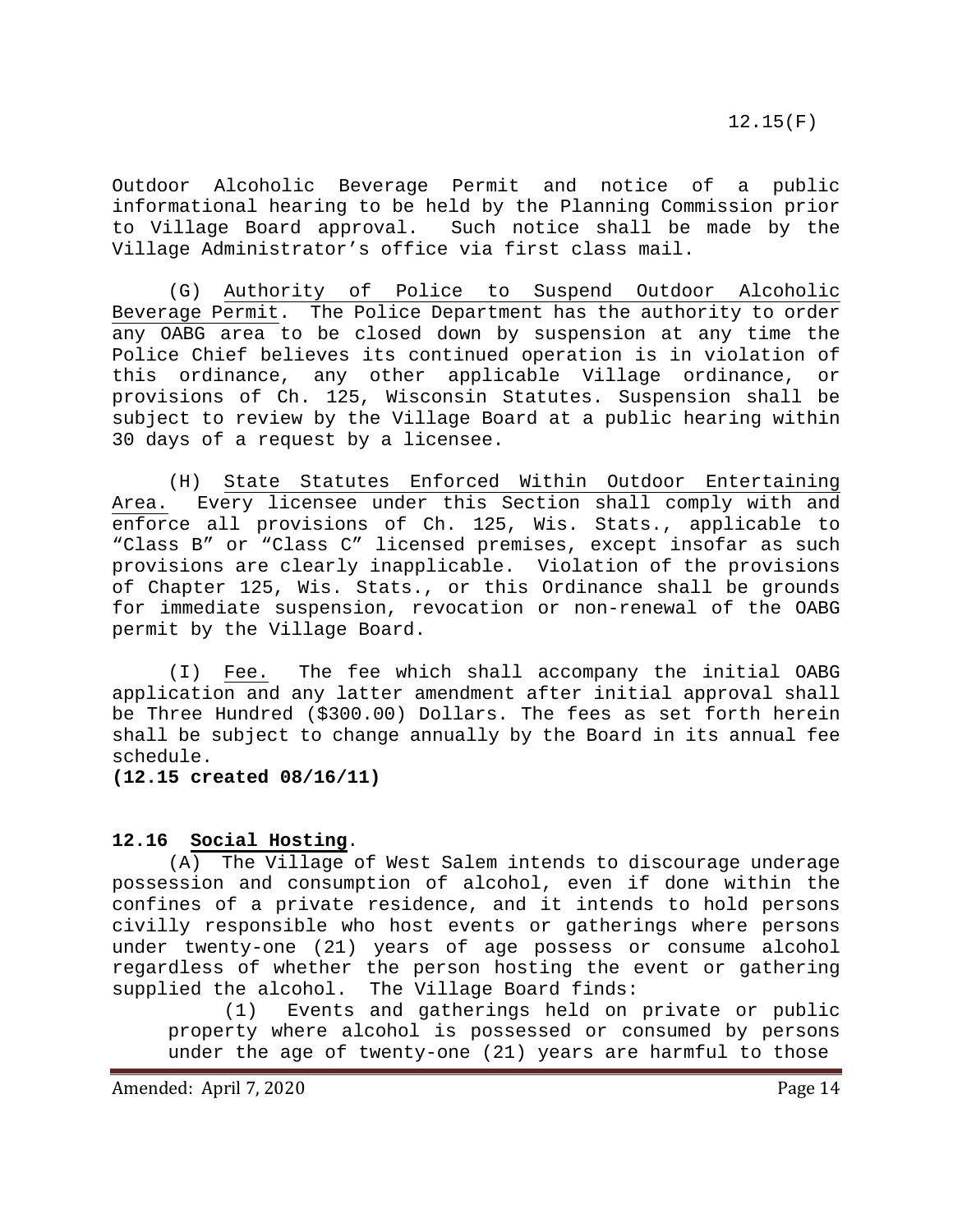Outdoor Alcoholic Beverage Permit and notice of a public informational hearing to be held by the Planning Commission prior to Village Board approval. Such notice shall be made by the Village Administrator's office via first class mail.

(G) Authority of Police to Suspend Outdoor Alcoholic Beverage Permit. The Police Department has the authority to order any OABG area to be closed down by suspension at any time the Police Chief believes its continued operation is in violation of this ordinance, any other applicable Village ordinance, or provisions of Ch. 125, Wisconsin Statutes. Suspension shall be subject to review by the Village Board at a public hearing within 30 days of a request by a licensee.

(H) State Statutes Enforced Within Outdoor Entertaining Area. Every licensee under this Section shall comply with and enforce all provisions of Ch. 125, Wis. Stats., applicable to "Class B" or "Class C" licensed premises, except insofar as such provisions are clearly inapplicable. Violation of the provisions of Chapter 125, Wis. Stats., or this Ordinance shall be grounds for immediate suspension, revocation or non-renewal of the OABG permit by the Village Board.

(I) Fee. The fee which shall accompany the initial OABG application and any latter amendment after initial approval shall be Three Hundred (\$300.00) Dollars. The fees as set forth herein shall be subject to change annually by the Board in its annual fee schedule.

**(12.15 created 08/16/11)**

#### <span id="page-13-0"></span>**12.16 Social Hosting**.

(A) The Village of West Salem intends to discourage underage possession and consumption of alcohol, even if done within the confines of a private residence, and it intends to hold persons civilly responsible who host events or gatherings where persons under twenty-one (21) years of age possess or consume alcohol regardless of whether the person hosting the event or gathering supplied the alcohol. The Village Board finds:<br>(1) Events and gatherings held on

Events and gatherings held on private or public property where alcohol is possessed or consumed by persons under the age of twenty-one (21) years are harmful to those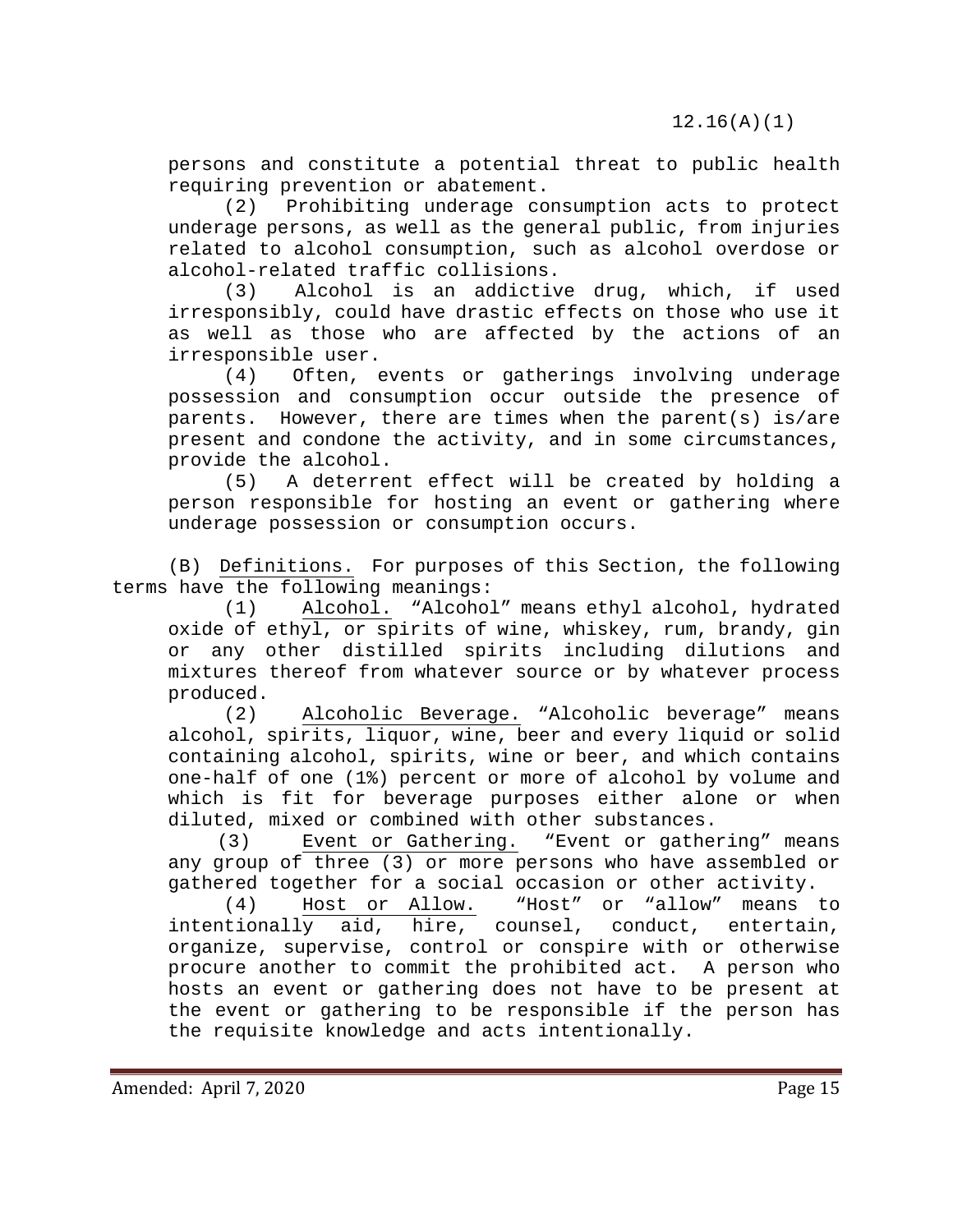persons and constitute a potential threat to public health requiring prevention or abatement.

(2) Prohibiting underage consumption acts to protect underage persons, as well as the general public, from injuries related to alcohol consumption, such as alcohol overdose or alcohol-related traffic collisions.

(3) Alcohol is an addictive drug, which, if used irresponsibly, could have drastic effects on those who use it as well as those who are affected by the actions of an irresponsible user.<br>(4) Often, 6

Often, events or gatherings involving underage possession and consumption occur outside the presence of parents. However, there are times when the parent(s) is/are present and condone the activity, and in some circumstances, provide the alcohol.<br>(5) A deterrer

A deterrent effect will be created by holding a person responsible for hosting an event or gathering where underage possession or consumption occurs.

(B) Definitions. For purposes of this Section, the following terms have the following meanings:<br>(1) Alcohol. "Alcohol"

Alcohol. "Alcohol" means ethyl alcohol, hydrated oxide of ethyl, or spirits of wine, whiskey, rum, brandy, gin or any other distilled spirits including dilutions and mixtures thereof from whatever source or by whatever process produced.

(2) Alcoholic Beverage. "Alcoholic beverage" means alcohol, spirits, liquor, wine, beer and every liquid or solid containing alcohol, spirits, wine or beer, and which contains one-half of one (1%) percent or more of alcohol by volume and which is fit for beverage purposes either alone or when

diluted, mixed or combined with other substances.<br>(3) Event or Gathering. "Event or gather "Event or gathering" means any group of three (3) or more persons who have assembled or gathered together for a social occasion or other activity.

(4) Host or Allow. "Host" or "allow" means to<br>intentionally aid, hire, counsel, conduct, entertain, conduct, entertain, organize, supervise, control or conspire with or otherwise procure another to commit the prohibited act. A person who hosts an event or gathering does not have to be present at the event or gathering to be responsible if the person has the requisite knowledge and acts intentionally.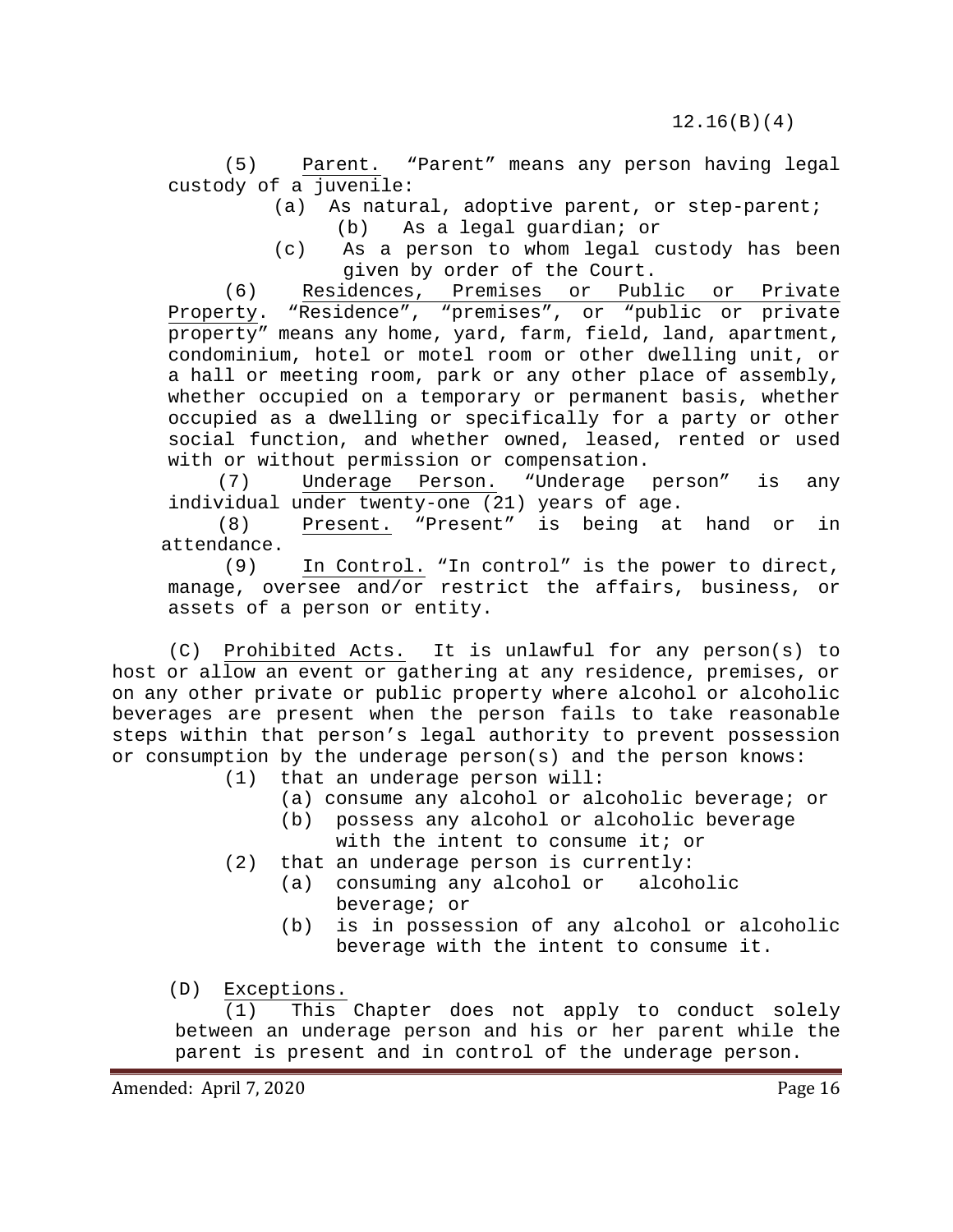(5) Parent. "Parent" means any person having legal custody of a juvenile:

- (a) As natural, adoptive parent, or step-parent; (b) As a legal guardian; or
- (c) As a person to whom legal custody has been given by order of the Court.

(6) Residences, Premises or Public or Private<br>Property. "Residence", "premises", or "public or private "Residence", "premises", or "public or private property" means any home, yard, farm, field, land, apartment, condominium, hotel or motel room or other dwelling unit, or a hall or meeting room, park or any other place of assembly, whether occupied on a temporary or permanent basis, whether occupied as a dwelling or specifically for a party or other social function, and whether owned, leased, rented or used with or without permission or compensation.<br>(7) Underage Person. "Underage person"

(7) Underage Person. "Underage person" is any individual under twenty-one (21) years of age.<br>(8) Present. "Present" is being at

Present. "Present" is being at hand or in attendance.<br>(9)

In Control. "In control" is the power to direct, manage, oversee and/or restrict the affairs, business, or assets of a person or entity.

(C) Prohibited Acts. It is unlawful for any person(s) to host or allow an event or gathering at any residence, premises, or on any other private or public property where alcohol or alcoholic beverages are present when the person fails to take reasonable steps within that person's legal authority to prevent possession or consumption by the underage person(s) and the person knows:<br>(1) that an underage person will:

- that an underage person will:
	- (a) consume any alcohol or alcoholic beverage; or<br>(b) possess any alcohol or alcoholic beverage
	- possess any alcohol or alcoholic beverage with the intent to consume it; or
- (2) that an underage person is currently:<br>(a) consuming any alcohol or alcoholic
	- $(a)$  consuming any alcohol or beverage; or
	- (b) is in possession of any alcohol or alcoholic beverage with the intent to consume it.

(D) Exceptions.

(1) This Chapter does not apply to conduct solely between an underage person and his or her parent while the parent is present and in control of the underage person.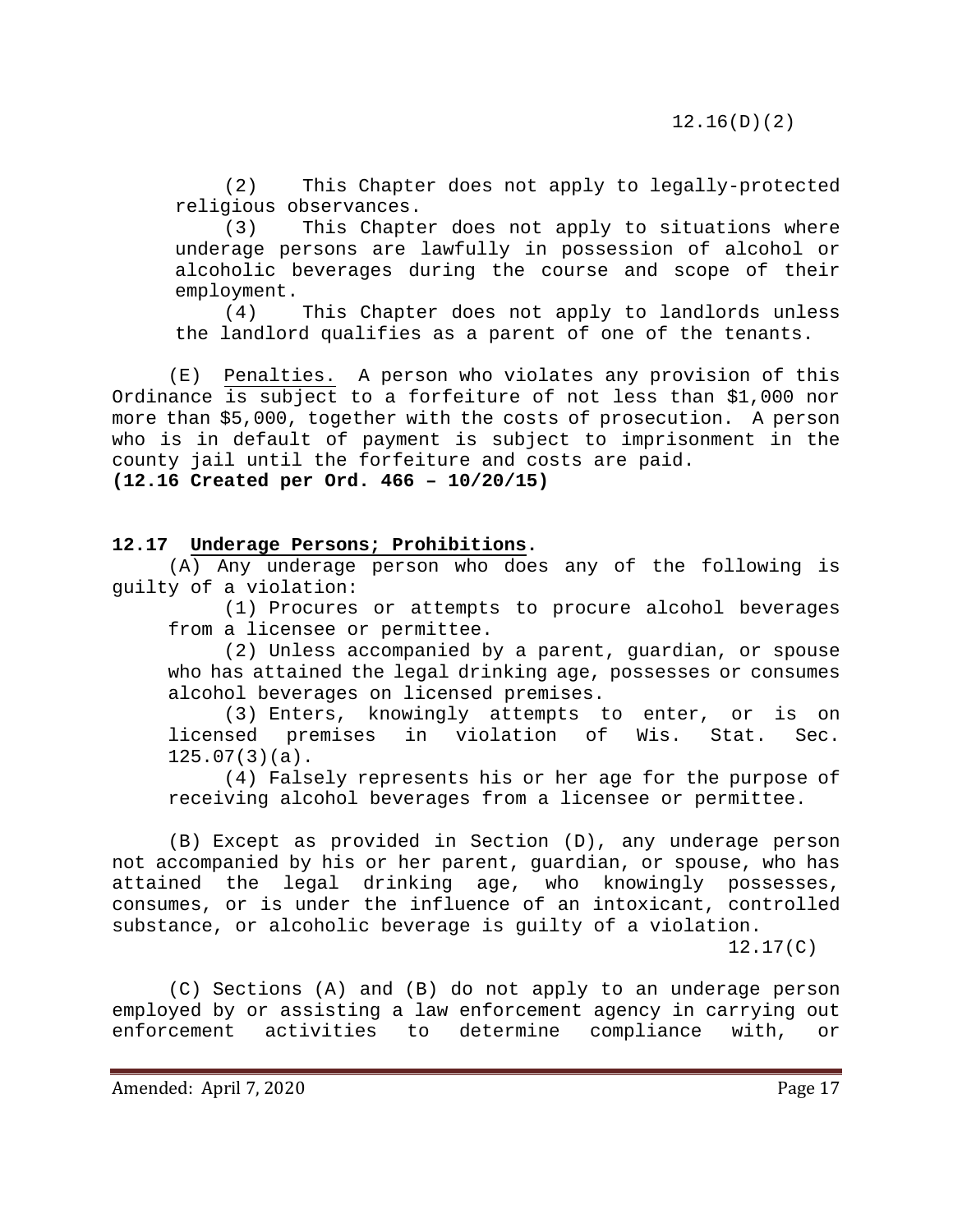(2) This Chapter does not apply to legally-protected religious observances.

(3) This Chapter does not apply to situations where underage persons are lawfully in possession of alcohol or alcoholic beverages during the course and scope of their employment.<br>(4)

This Chapter does not apply to landlords unless the landlord qualifies as a parent of one of the tenants.

(E) Penalties. A person who violates any provision of this Ordinance is subject to a forfeiture of not less than \$1,000 nor more than \$5,000, together with the costs of prosecution. A person who is in default of payment is subject to imprisonment in the county jail until the forfeiture and costs are paid. **(12.16 Created per Ord. 466 – 10/20/15)**

#### **12.17 Underage Persons; Prohibitions.**

(A) Any underage person who does any of the following is guilty of a violation:

<span id="page-16-0"></span>(1) Procures or attempts to procure alcohol beverages from a licensee or permittee.

(2) Unless accompanied by a parent, guardian, or spouse who has attained the legal drinking age, possesses or consumes alcohol beverages on licensed premises.

(3) Enters, knowingly attempts to enter, or is on<br>sed premises in violation of Wis. Stat. Sec. licensed premises in violation of Wis. Stat. 125.07(3)(a).

(4) Falsely represents his or her age for the purpose of receiving alcohol beverages from a licensee or permittee.

(B) Except as provided in Section (D), any underage person not accompanied by his or her parent, guardian, or spouse, who has attained the legal drinking age, who knowingly possesses, consumes, or is under the influence of an intoxicant, controlled substance, or alcoholic beverage is guilty of a violation.

12.17(C)

(C) Sections (A) and (B) do not apply to an underage person employed by or assisting a law enforcement agency in carrying out enforcement activities to determine compliance with, or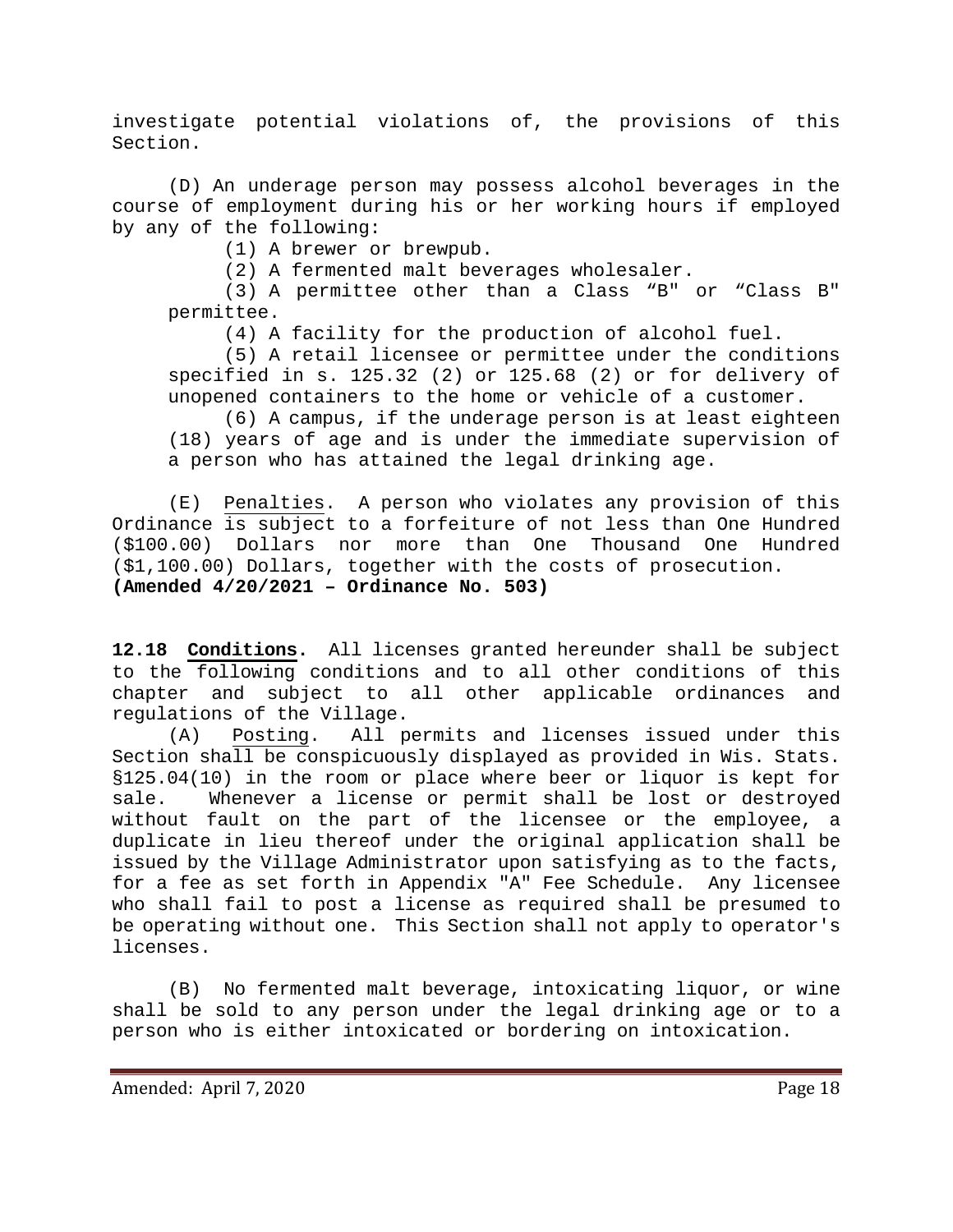investigate potential violations of, the provisions of this Section.

(D) An underage person may possess alcohol beverages in the course of employment during his or her working hours if employed by any of the following:

(1) A brewer or brewpub.

(2) A fermented malt beverages wholesaler.

(3) A permittee other than a Class "B" or "Class B" permittee.

(4) A facility for the production of alcohol fuel.

(5) A retail licensee or permittee under the conditions specified in s. [125.32 \(2\)](https://docs.legis.wisconsin.gov/document/statutes/125.32(2)) or [125.68 \(2\)](https://docs.legis.wisconsin.gov/document/statutes/125.68(2)) or for delivery of unopened containers to the home or vehicle of a customer.

(6) A campus, if the underage person is at least eighteen (18) years of age and is under the immediate supervision of a person who has attained the legal drinking age.

(E) Penalties. A person who violates any provision of this Ordinance is subject to a forfeiture of not less than One Hundred (\$100.00) Dollars nor more than One Thousand One Hundred (\$1,100.00) Dollars, together with the costs of prosecution. **(Amended 4/20/2021 – Ordinance No. 503)**

<span id="page-17-0"></span>**12.18 Conditions.** All licenses granted hereunder shall be subject to the following conditions and to all other conditions of this chapter and subject to all other applicable ordinances and regulations of the Village.

(A) Posting. All permits and licenses issued under this Section shall be conspicuously displayed as provided in Wis. Stats. §125.04(10) in the room or place where beer or liquor is kept for sale. Whenever a license or permit shall be lost or destroyed without fault on the part of the licensee or the employee, a duplicate in lieu thereof under the original application shall be issued by the Village Administrator upon satisfying as to the facts, for a fee as set forth in Appendix "A" Fee Schedule. Any licensee who shall fail to post a license as required shall be presumed to be operating without one. This Section shall not apply to operator's licenses.

(B) No fermented malt beverage, intoxicating liquor, or wine shall be sold to any person under the legal drinking age or to a person who is either intoxicated or bordering on intoxication.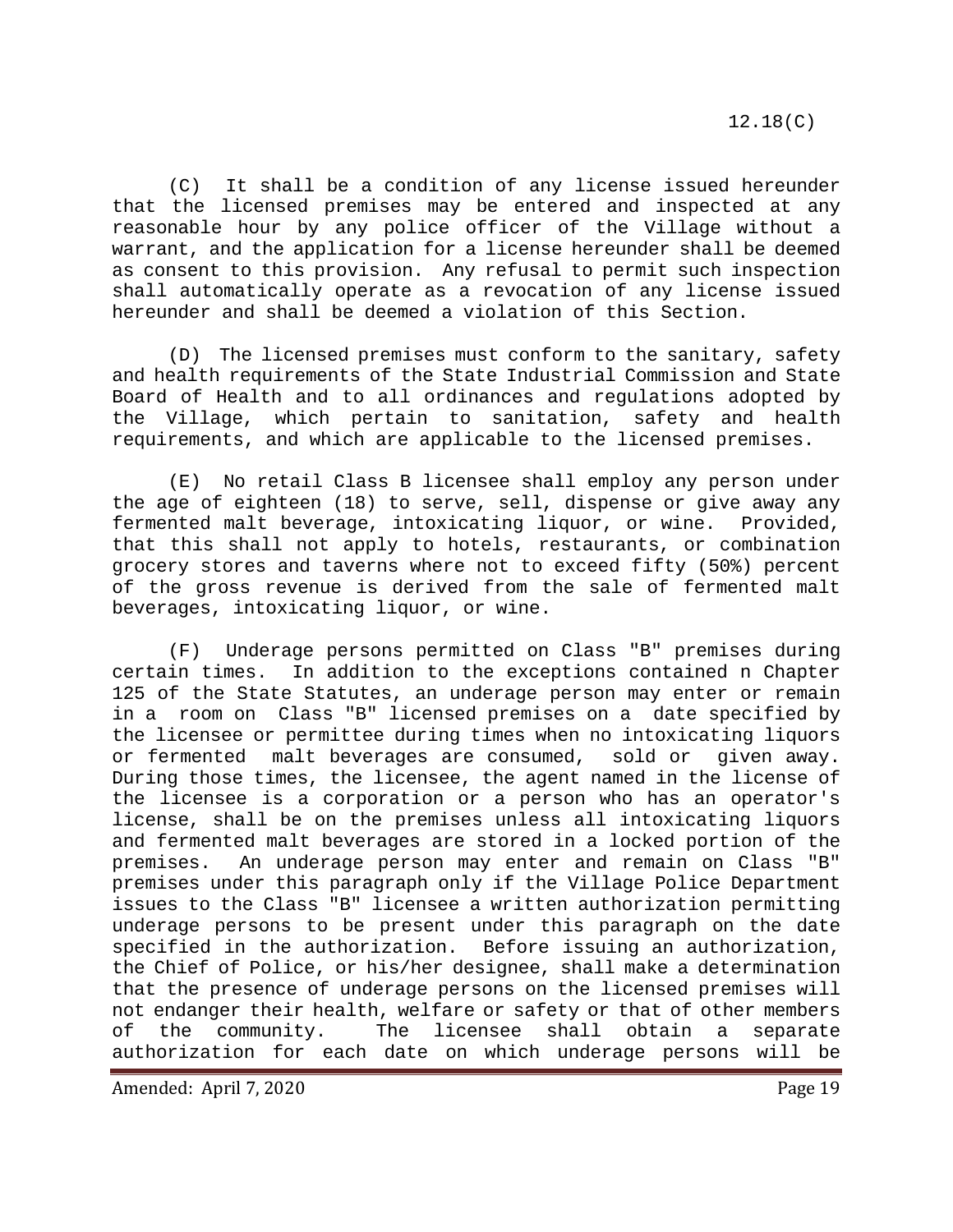(C) It shall be a condition of any license issued hereunder that the licensed premises may be entered and inspected at any reasonable hour by any police officer of the Village without a warrant, and the application for a license hereunder shall be deemed as consent to this provision. Any refusal to permit such inspection shall automatically operate as a revocation of any license issued hereunder and shall be deemed a violation of this Section.

(D) The licensed premises must conform to the sanitary, safety and health requirements of the State Industrial Commission and State Board of Health and to all ordinances and regulations adopted by the Village, which pertain to sanitation, safety and health requirements, and which are applicable to the licensed premises.

(E) No retail Class B licensee shall employ any person under the age of eighteen (18) to serve, sell, dispense or give away any fermented malt beverage, intoxicating liquor, or wine. Provided, that this shall not apply to hotels, restaurants, or combination grocery stores and taverns where not to exceed fifty (50%) percent of the gross revenue is derived from the sale of fermented malt beverages, intoxicating liquor, or wine.

(F) Underage persons permitted on Class "B" premises during certain times. In addition to the exceptions contained n Chapter 125 of the State Statutes, an underage person may enter or remain in a room on Class "B" licensed premises on a date specified by the licensee or permittee during times when no intoxicating liquors or fermented malt beverages are consumed, sold or given away. During those times, the licensee, the agent named in the license of the licensee is a corporation or a person who has an operator's license, shall be on the premises unless all intoxicating liquors and fermented malt beverages are stored in a locked portion of the<br>premises. An underage person may enter and remain on Class "B" An underage person may enter and remain on Class "B" premises under this paragraph only if the Village Police Department issues to the Class "B" licensee a written authorization permitting underage persons to be present under this paragraph on the date specified in the authorization. Before issuing an authorization, the Chief of Police, or his/her designee, shall make a determination that the presence of underage persons on the licensed premises will not endanger their health, welfare or safety or that of other members of the community. The licensee shall obtain a separate authorization for each date on which underage persons will be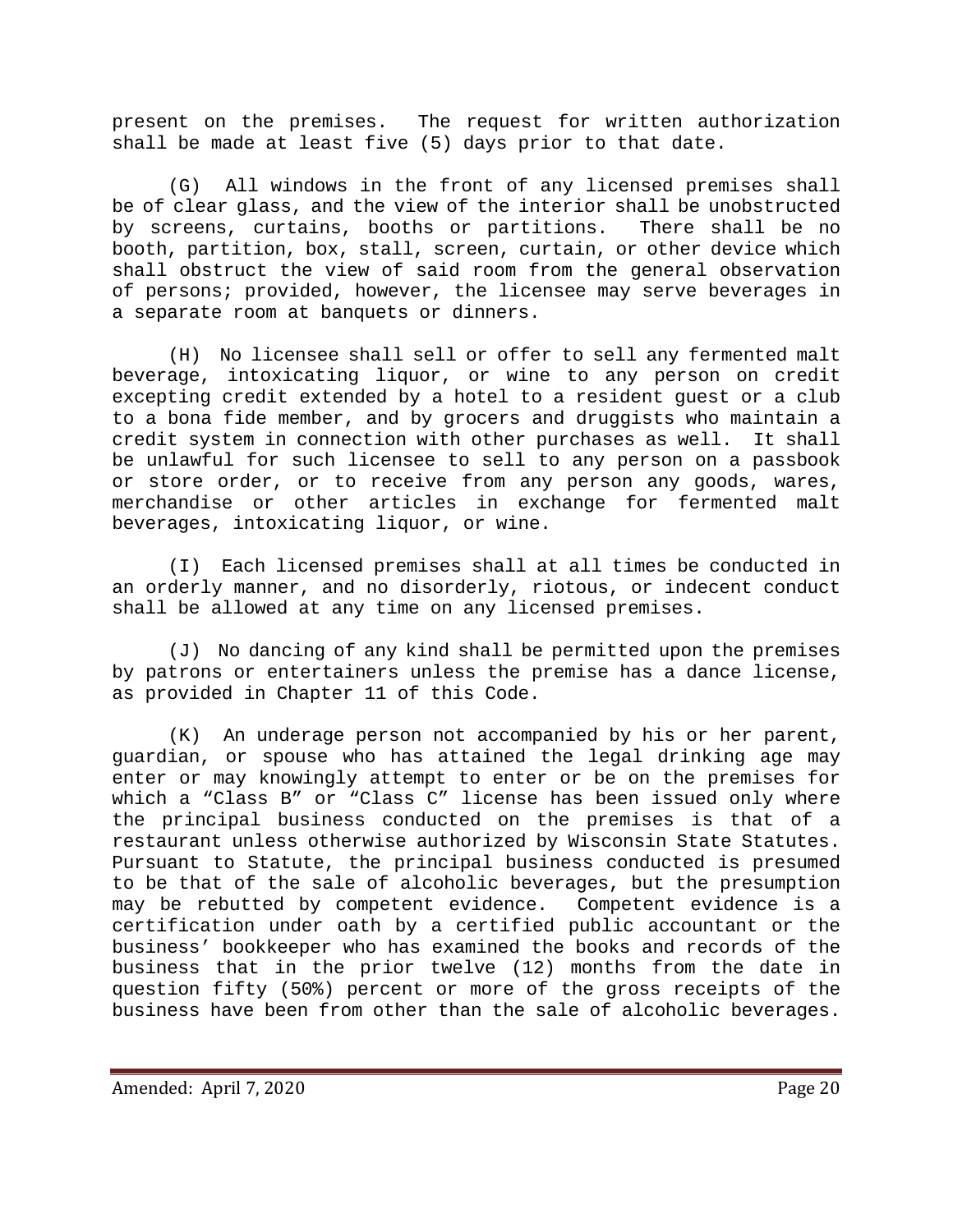present on the premises. The request for written authorization shall be made at least five (5) days prior to that date.

(G) All windows in the front of any licensed premises shall be of clear glass, and the view of the interior shall be unobstructed<br>by screens, curtains, booths or partitions. There shall be no by screens, curtains, booths or partitions. booth, partition, box, stall, screen, curtain, or other device which shall obstruct the view of said room from the general observation of persons; provided, however, the licensee may serve beverages in a separate room at banquets or dinners.

(H) No licensee shall sell or offer to sell any fermented malt beverage, intoxicating liquor, or wine to any person on credit excepting credit extended by a hotel to a resident guest or a club to a bona fide member, and by grocers and druggists who maintain a credit system in connection with other purchases as well. It shall be unlawful for such licensee to sell to any person on a passbook or store order, or to receive from any person any goods, wares, merchandise or other articles in exchange for fermented malt beverages, intoxicating liquor, or wine.

(I) Each licensed premises shall at all times be conducted in an orderly manner, and no disorderly, riotous, or indecent conduct shall be allowed at any time on any licensed premises.

(J) No dancing of any kind shall be permitted upon the premises by patrons or entertainers unless the premise has a dance license, as provided in Chapter 11 of this Code.

(K) An underage person not accompanied by his or her parent, guardian, or spouse who has attained the legal drinking age may enter or may knowingly attempt to enter or be on the premises for which a "Class B" or "Class C" license has been issued only where the principal business conducted on the premises is that of a restaurant unless otherwise authorized by Wisconsin State Statutes. Pursuant to Statute, the principal business conducted is presumed to be that of the sale of alcoholic beverages, but the presumption may be rebutted by competent evidence. Competent evidence is a certification under oath by a certified public accountant or the business' bookkeeper who has examined the books and records of the business that in the prior twelve (12) months from the date in question fifty (50%) percent or more of the gross receipts of the business have been from other than the sale of alcoholic beverages.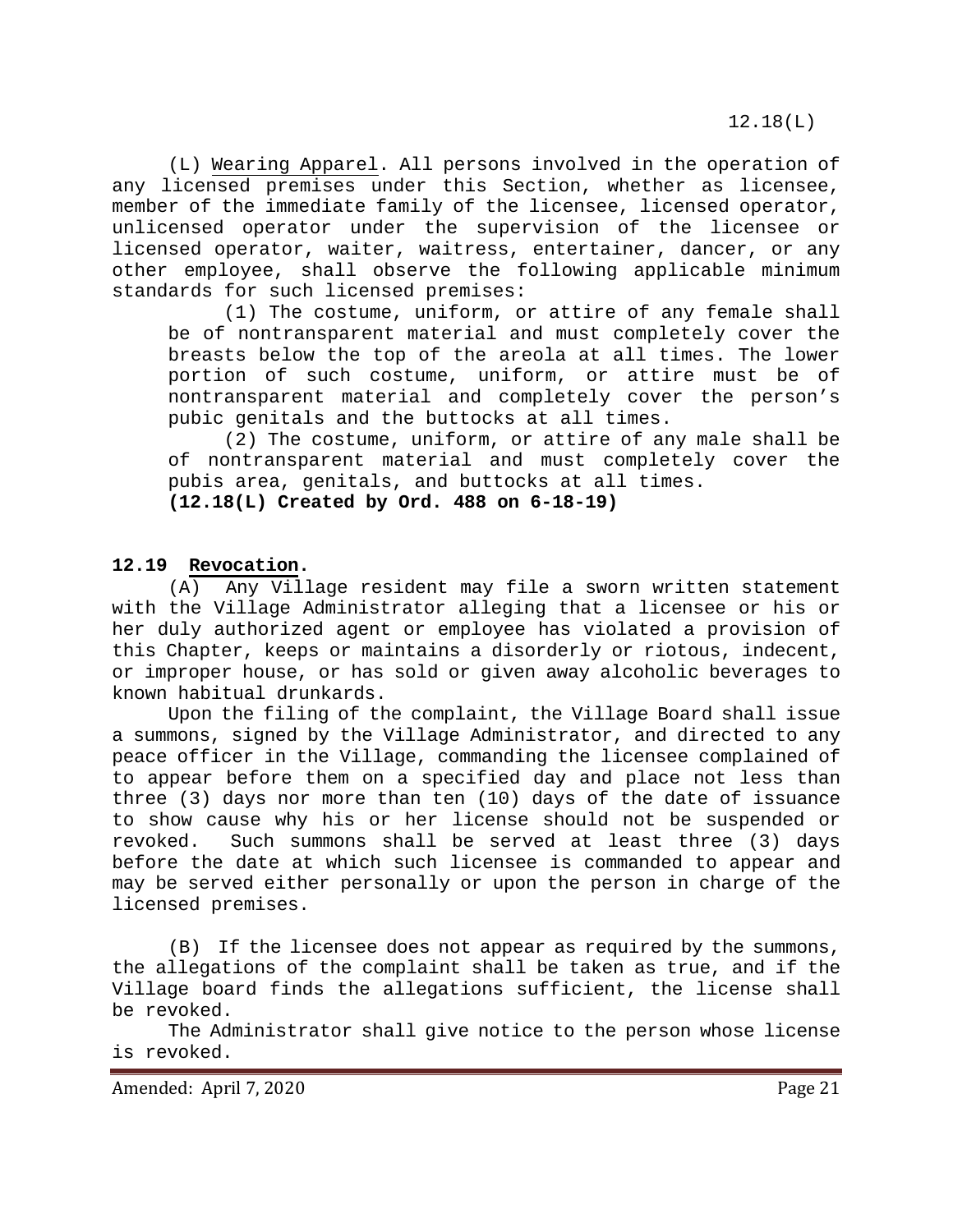12.18(L)

(L) Wearing Apparel. All persons involved in the operation of any licensed premises under this Section, whether as licensee, member of the immediate family of the licensee, licensed operator, unlicensed operator under the supervision of the licensee or licensed operator, waiter, waitress, entertainer, dancer, or any other employee, shall observe the following applicable minimum standards for such licensed premises:

(1) The costume, uniform, or attire of any female shall be of nontransparent material and must completely cover the breasts below the top of the areola at all times. The lower portion of such costume, uniform, or attire must be of nontransparent material and completely cover the person's pubic genitals and the buttocks at all times.

(2) The costume, uniform, or attire of any male shall be of nontransparent material and must completely cover the pubis area, genitals, and buttocks at all times. **(12.18(L) Created by Ord. 488 on 6-18-19)**

<span id="page-20-0"></span>**12.19 Revocation.**

(A) Any Village resident may file a sworn written statement with the Village Administrator alleging that a licensee or his or her duly authorized agent or employee has violated a provision of this Chapter, keeps or maintains a disorderly or riotous, indecent, or improper house, or has sold or given away alcoholic beverages to known habitual drunkards.

Upon the filing of the complaint, the Village Board shall issue a summons, signed by the Village Administrator, and directed to any peace officer in the Village, commanding the licensee complained of to appear before them on a specified day and place not less than three (3) days nor more than ten (10) days of the date of issuance to show cause why his or her license should not be suspended or<br>revoked. Such summons shall be served at least three (3) days Such summons shall be served at least three (3) days before the date at which such licensee is commanded to appear and may be served either personally or upon the person in charge of the licensed premises.

(B) If the licensee does not appear as required by the summons, the allegations of the complaint shall be taken as true, and if the Village board finds the allegations sufficient, the license shall be revoked.

The Administrator shall give notice to the person whose license is revoked.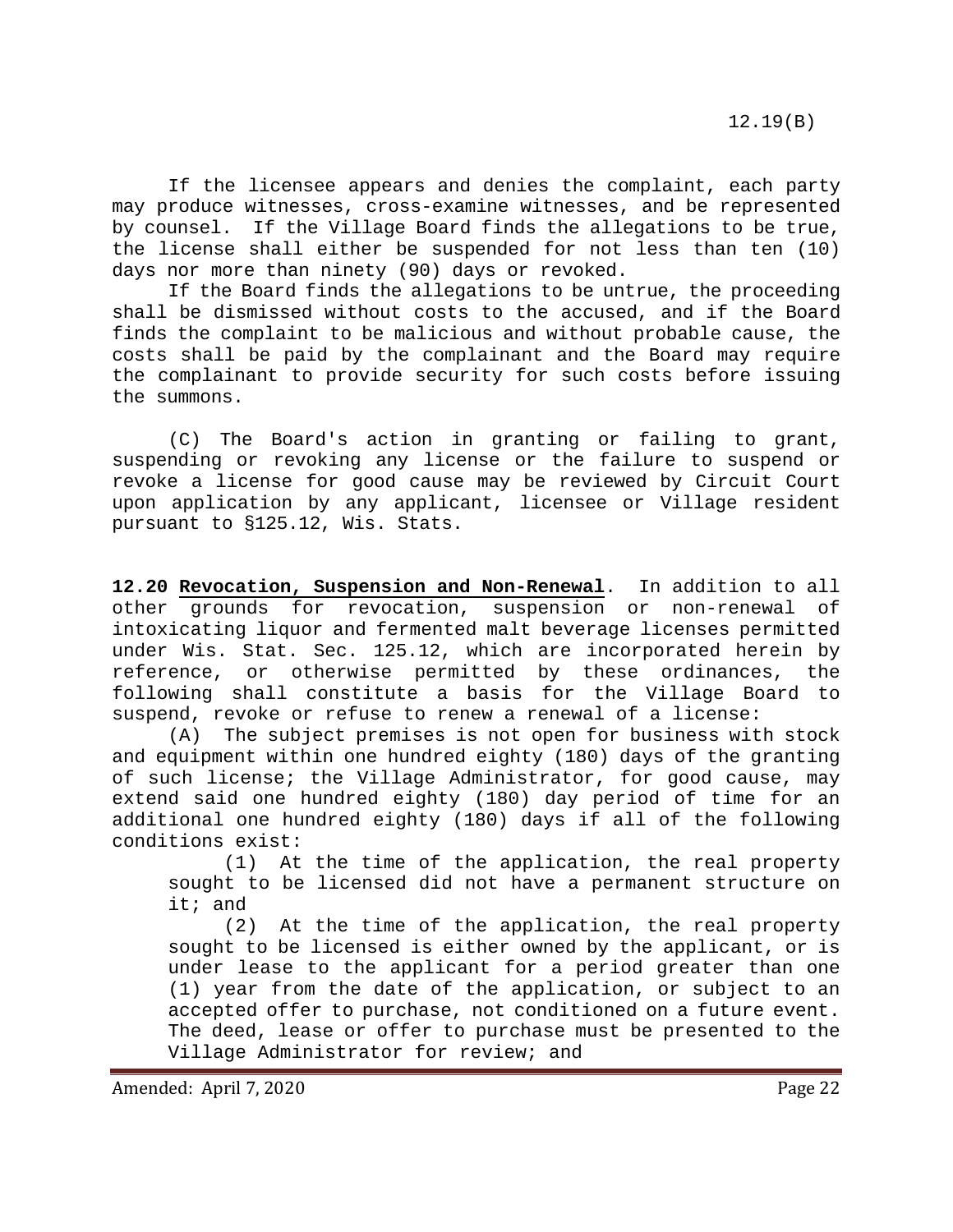If the licensee appears and denies the complaint, each party may produce witnesses, cross-examine witnesses, and be represented by counsel. If the Village Board finds the allegations to be true, the license shall either be suspended for not less than ten (10) days nor more than ninety (90) days or revoked.

If the Board finds the allegations to be untrue, the proceeding shall be dismissed without costs to the accused, and if the Board finds the complaint to be malicious and without probable cause, the costs shall be paid by the complainant and the Board may require the complainant to provide security for such costs before issuing the summons.

(C) The Board's action in granting or failing to grant, suspending or revoking any license or the failure to suspend or revoke a license for good cause may be reviewed by Circuit Court upon application by any applicant, licensee or Village resident pursuant to §125.12, Wis. Stats.

<span id="page-21-0"></span>**12.20 Revocation, Suspension and Non-Renewal**. In addition to all other grounds for revocation, suspension or non-renewal of intoxicating liquor and fermented malt beverage licenses permitted under Wis. Stat. Sec. 125.12, which are incorporated herein by reference, or otherwise permitted by these ordinances, the following shall constitute a basis for the Village Board to suspend, revoke or refuse to renew a renewal of a license:

(A) The subject premises is not open for business with stock and equipment within one hundred eighty (180) days of the granting of such license; the Village Administrator, for good cause, may extend said one hundred eighty (180) day period of time for an additional one hundred eighty (180) days if all of the following conditions exist:

At the time of the application, the real property sought to be licensed did not have a permanent structure on it; and

(2) At the time of the application, the real property sought to be licensed is either owned by the applicant, or is under lease to the applicant for a period greater than one (1) year from the date of the application, or subject to an accepted offer to purchase, not conditioned on a future event. The deed, lease or offer to purchase must be presented to the Village Administrator for review; and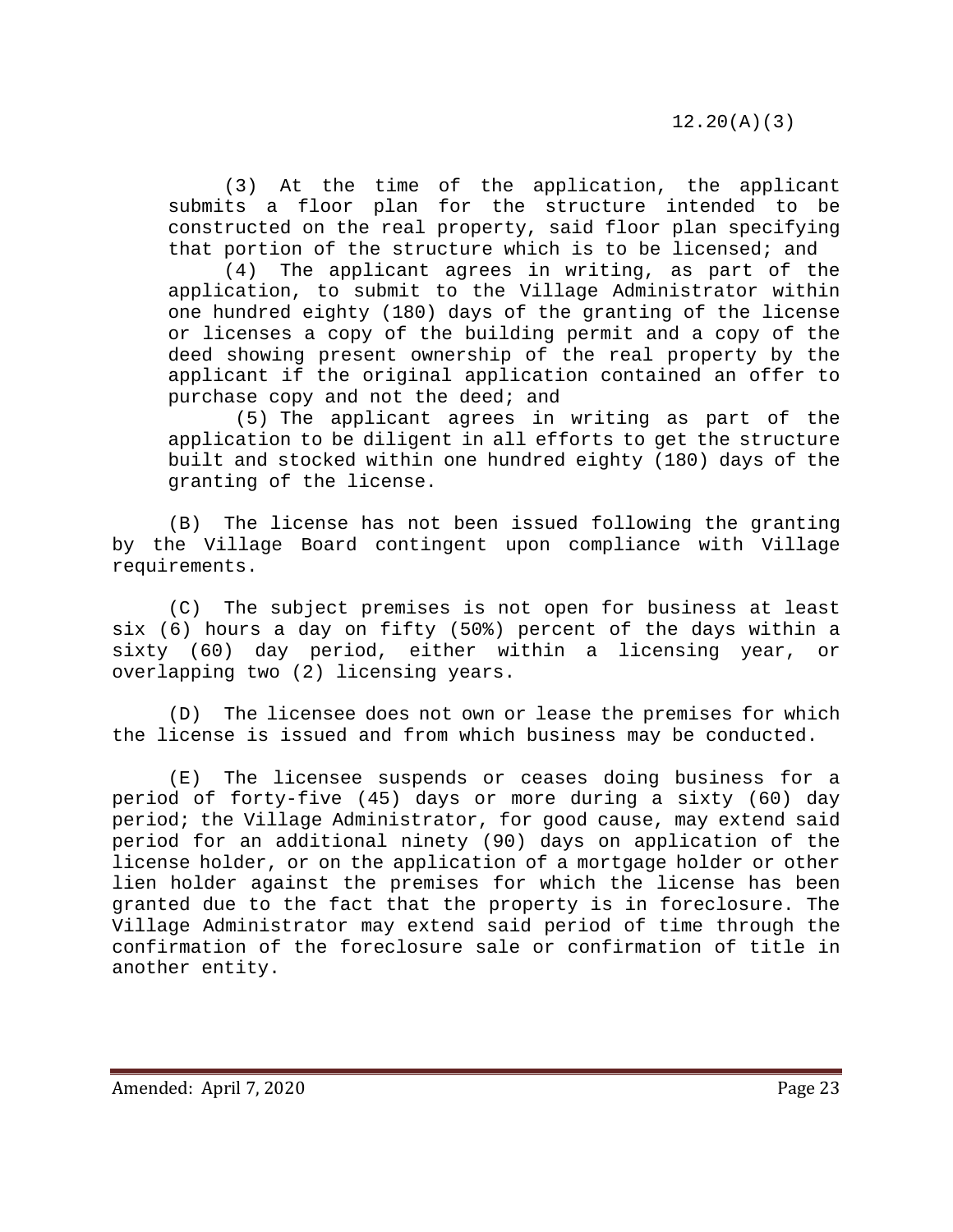(3) At the time of the application, the applicant submits a floor plan for the structure intended to be constructed on the real property, said floor plan specifying that portion of the structure which is to be licensed; and

(4) The applicant agrees in writing, as part of the application, to submit to the Village Administrator within one hundred eighty (180) days of the granting of the license or licenses a copy of the building permit and a copy of the deed showing present ownership of the real property by the applicant if the original application contained an offer to purchase copy and not the deed; and

(5) The applicant agrees in writing as part of the application to be diligent in all efforts to get the structure built and stocked within one hundred eighty (180) days of the granting of the license.

(B) The license has not been issued following the granting by the Village Board contingent upon compliance with Village requirements.

(C) The subject premises is not open for business at least six (6) hours a day on fifty (50%) percent of the days within a sixty (60) day period, either within a licensing year, or overlapping two (2) licensing years.

(D) The licensee does not own or lease the premises for which the license is issued and from which business may be conducted.

(E) The licensee suspends or ceases doing business for a period of forty-five (45) days or more during a sixty (60) day period; the Village Administrator, for good cause, may extend said period for an additional ninety (90) days on application of the license holder, or on the application of a mortgage holder or other lien holder against the premises for which the license has been granted due to the fact that the property is in foreclosure. The Village Administrator may extend said period of time through the confirmation of the foreclosure sale or confirmation of title in another entity.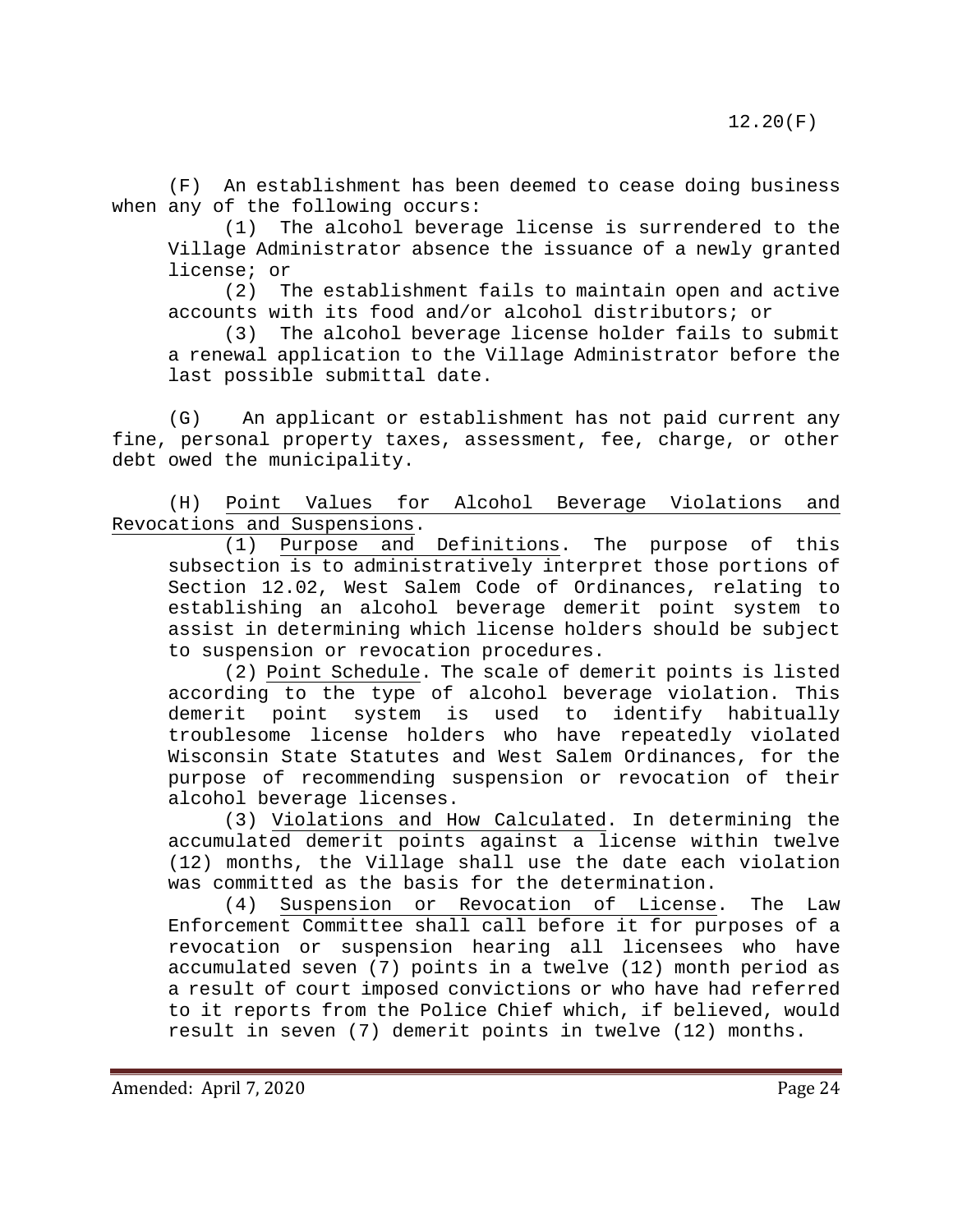(F) An establishment has been deemed to cease doing business when any of the following occurs:

(1) The alcohol beverage license is surrendered to the Village Administrator absence the issuance of a newly granted license; or

(2) The establishment fails to maintain open and active accounts with its food and/or alcohol distributors; or<br>(3) The alcohol beverage license holder fails to:

The alcohol beverage license holder fails to submit a renewal application to the Village Administrator before the last possible submittal date.

(G) An applicant or establishment has not paid current any fine, personal property taxes, assessment, fee, charge, or other debt owed the municipality.

(H) Point Values for Alcohol Beverage Violations and Revocations and Suspensions.

(1) Purpose and Definitions. The purpose of this subsection is to administratively interpret those portions of Section 12.02, West Salem Code of Ordinances, relating to establishing an alcohol beverage demerit point system to assist in determining which license holders should be subject to suspension or revocation procedures.

(2) Point Schedule. The scale of demerit points is listed according to the type of alcohol beverage violation. This<br>demerit point system is used to identify habitually demerit point system is used to troublesome license holders who have repeatedly violated Wisconsin State Statutes and West Salem Ordinances, for the purpose of recommending suspension or revocation of their alcohol beverage licenses.

(3) Violations and How Calculated. In determining the accumulated demerit points against a license within twelve (12) months, the Village shall use the date each violation was committed as the basis for the determination.

(4) Suspension or Revocation of License. The Law Enforcement Committee shall call before it for purposes of a revocation or suspension hearing all licensees who have accumulated seven (7) points in a twelve (12) month period as a result of court imposed convictions or who have had referred to it reports from the Police Chief which, if believed, would result in seven (7) demerit points in twelve (12) months.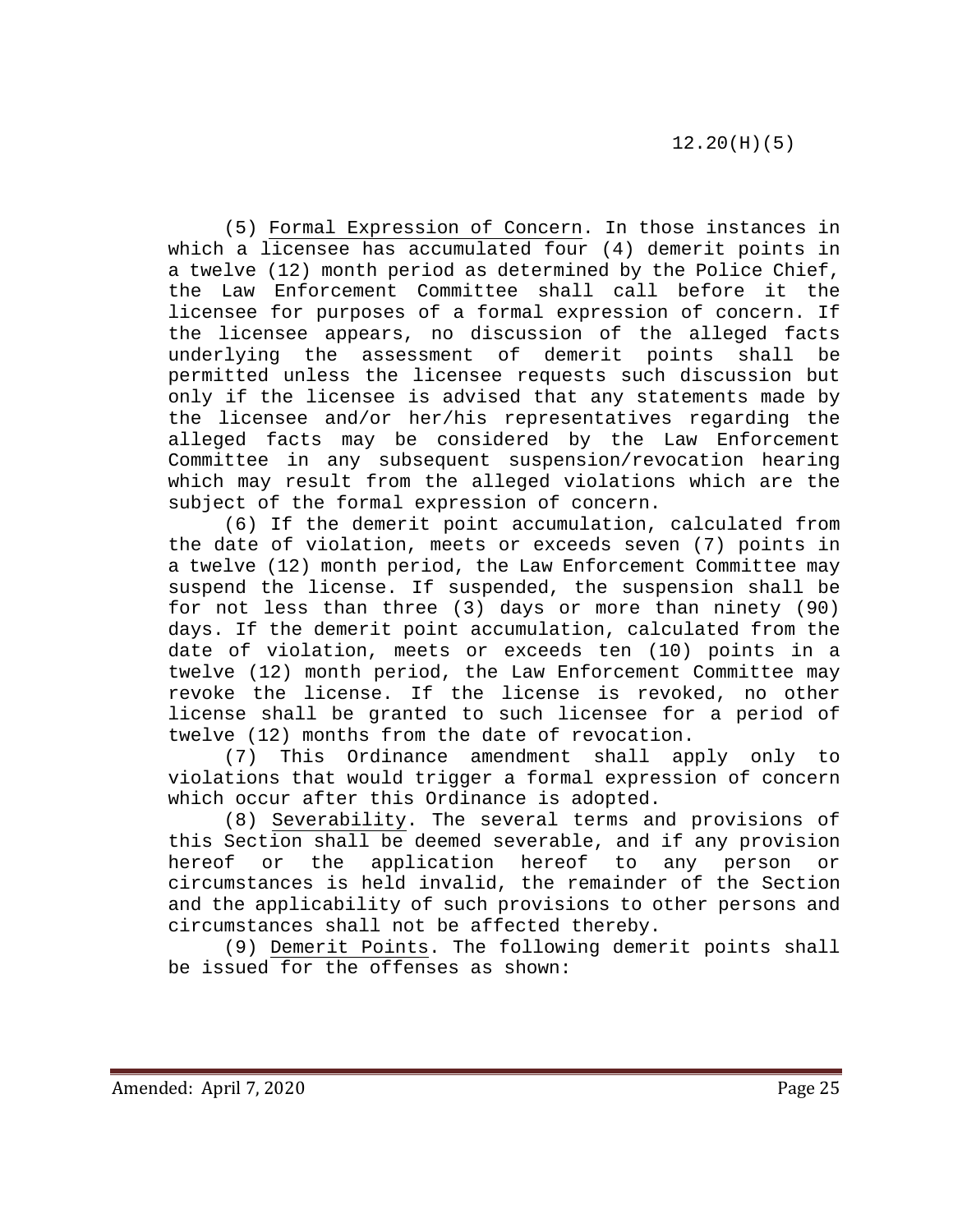(5) Formal Expression of Concern. In those instances in which a licensee has accumulated four (4) demerit points in a twelve (12) month period as determined by the Police Chief, the Law Enforcement Committee shall call before it the licensee for purposes of a formal expression of concern. If the licensee appears, no discussion of the alleged facts underlying the assessment of demerit points shall be permitted unless the licensee requests such discussion but only if the licensee is advised that any statements made by the licensee and/or her/his representatives regarding the alleged facts may be considered by the Law Enforcement Committee in any subsequent suspension/revocation hearing which may result from the alleged violations which are the subject of the formal expression of concern.

(6) If the demerit point accumulation, calculated from the date of violation, meets or exceeds seven (7) points in a twelve (12) month period, the Law Enforcement Committee may suspend the license. If suspended, the suspension shall be for not less than three (3) days or more than ninety (90) days. If the demerit point accumulation, calculated from the date of violation, meets or exceeds ten (10) points in a twelve (12) month period, the Law Enforcement Committee may revoke the license. If the license is revoked, no other license shall be granted to such licensee for a period of twelve (12) months from the date of revocation.

(7) This Ordinance amendment shall apply only to violations that would trigger a formal expression of concern which occur after this Ordinance is adopted.

(8) Severability. The several terms and provisions of this Section shall be deemed severable, and if any provision<br>hereof or the application hereof to any person or application hereof to any person or circumstances is held invalid, the remainder of the Section and the applicability of such provisions to other persons and circumstances shall not be affected thereby.

(9) Demerit Points. The following demerit points shall be issued for the offenses as shown: